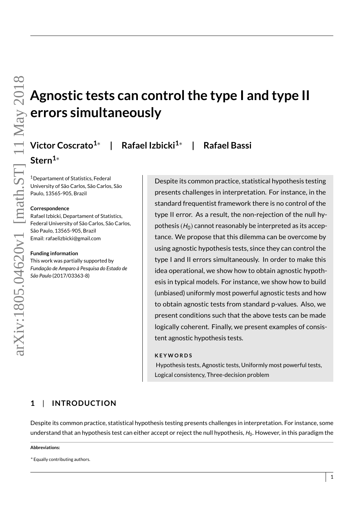# **Agnostic tests can control the type I and type II errors simultaneously**

**| Rafael Izbicki1**<sup>∗</sup> **| Rafael Bassi**

<sup>1</sup>Departament of Statistics, Federal University of São Carlos, São Carlos, São Paulo, 13565-905, Brazil

**Victor Coscrato1**<sup>∗</sup>

## **Correspondence**

**Stern1**<sup>∗</sup>

Rafael Izbicki, Departament of Statistics, Federal University of São Carlos, São Carlos, São Paulo, 13565-905, Brazil Email: rafaelizbicki@gmail.com

#### **Funding information**

This work was partially supported by *Fundação de Amparo à Pesquisa do Estado de São Paulo* (2017/03363-8)

Despite its common practice, statistical hypothesis testing presents challenges in interpretation. For instance, in the standard frequentist framework there is no control of the type II error. As a result, the non-rejection of the null hypothesis  $(H_0)$  cannot reasonably be interpreted as its acceptance. We propose that this dilemma can be overcome by using agnostic hypothesis tests, since they can control the type I and II errors simultaneously. In order to make this idea operational, we show how to obtain agnostic hypothesis in typical models. For instance, we show how to build (unbiased) uniformly most powerful agnostic tests and how to obtain agnostic tests from standard p-values. Also, we present conditions such that the above tests can be made logically coherent. Finally, we present examples of consistent agnostic hypothesis tests.

## **K E Y W O R D S**

Hypothesis tests, Agnostic tests, Uniformly most powerful tests, Logical consistency, Three-decision problem

# $1$  | **INTRODUCTION**

Despite its common practice, statistical hypothesis testing presents challenges in interpretation. For instance, some understand that an hypothesis test can either accept or reject the null hypothesis,  $H_0$ . However, in this paradigm the

#### **Abbreviations:**

<sup>∗</sup>Equally contributing authors.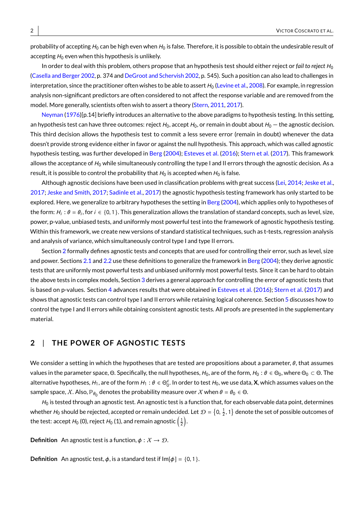probability of accepting  $H_0$  can be high even when  $H_0$  is false. Therefore, it is possible to obtain the undesirable result of accepting  $H_0$  even when this hypothesis is unlikely.

In order to deal with this problem, others propose that an hypothesis test should either reject or *fail to reject*  $H_0$ [\(Casella and Berger](#page-15-0) [2002,](#page-15-0) p. 374 and [DeGroot and Schervish](#page-15-1) [2002,](#page-15-1) p. 545). Such a position can also lead to challenges in interpretation, since the practitioner often wishes to be able to assert  $H_0$  [\(Levine et al.,](#page-15-2) [2008\)](#page-15-2). For example, in regression analysis non-significant predictors are often considered to not affect the response variable and are removed from the model. More generally, scientists often wish to assert a theory [\(Stern,](#page-15-3) [2011,](#page-15-3) [2017\)](#page-15-4).

[Neyman](#page-15-5) [\(1976\)](#page-15-5)[p.14] briefly introduces an alternative to the above paradigms to hypothesis testing. In this setting, an hypothesis test can have three outcomes: reject  $H_0$ , accept  $H_0$ , or remain in doubt about  $H_0$  – the agnostic decision. This third decision allows the hypothesis test to commit a less severe error (remain in doubt) whenever the data doesn't provide strong evidence either in favor or against the null hypothesis. This approach, which was called agnostic hypothesis testing, was further developed in [Berg](#page-14-0) [\(2004\)](#page-14-0); [Esteves et al.](#page-15-6) [\(2016\)](#page-15-6); [Stern et al.](#page-15-7) [\(2017\)](#page-15-7). This framework allows the acceptance of  $H_0$  while simultaneously controlling the type I and II errors through the agnostic decision. As a result, it is possible to control the probability that  $H_0$  is accepted when  $H_0$  is false.

Although agnostic decisions have been used in classification problems with great success [\(Lei,](#page-15-8) [2014;](#page-15-8) [Jeske et al.,](#page-15-9) [2017;](#page-15-9) [Jeske and Smith,](#page-15-10) [2017;](#page-15-10) [Sadinle et al.,](#page-15-11) [2017\)](#page-15-11) the agnostic hypothesis testing framework has only started to be explored. Here, we generalize to arbitrary hypotheses the setting in [Berg](#page-14-0) [\(2004\)](#page-14-0), which applies only to hypotheses of the form:  $H_i: \theta = \theta_i$ , for  $i \in \{0, 1\}$ . This generalization allows the translation of standard concepts, such as level, size, power, p-value, unbiased tests, and uniformly most powerful test into the framework of agnostic hypothesis testing. Within this framework, we create new versions of standard statistical techniques, such as t-tests, regression analysis and analysis of variance, which simultaneously control type I and type II errors.

Section [2](#page-1-0) formally defines agnostic tests and concepts that are used for controlling their error, such as level, size and power. Sections [2.1](#page-2-0) and [2.2](#page-3-0) use these definitions to generalize the framework in [Berg](#page-14-0) [\(2004\)](#page-14-0); they derive agnostic tests that are uniformly most powerful tests and unbiased uniformly most powerful tests. Since it can be hard to obtain the above tests in complex models, Section [3](#page-6-0) derives a general approach for controlling the error of agnostic tests that is based on p-values. Section [4](#page-8-0) advances results that were obtained in [Esteves et al.](#page-15-6) [\(2016\)](#page-15-6); [Stern et al.](#page-15-7) [\(2017\)](#page-15-7) and shows that agnostic tests can control type I and II errors while retaining logical coherence. Section [5](#page-11-0) discusses how to control the type I and II errors while obtaining consistent agnostic tests. All proofs are presented in the supplementary material.

## <span id="page-1-0"></span>**2** | **THE POWER OF AGNOST IC TESTS**

We consider a setting in which the hypotheses that are tested are propositions about a parameter,  $\theta$ , that assumes values in the parameter space, Θ. Specifically, the null hypotheses,  $H_0$ , are of the form,  $H_0: \theta \in \Theta_0$ , where  $\Theta_0 \subset \Theta$ . The alternative hypotheses,  $H_1$ , are of the form  $H_1: \theta \in \Theta_0^c$ . In order to test  $H_0$ , we use data, **X**, which assumes values on the sample space,  $\mathcal{X}.$  Also,  $\mathbb{P}_{\theta_0}$  denotes the probability measure over  $\mathcal{X}$  when  $\theta=\theta_0\in\Theta.$ 

 $H_0$  is tested through an agnostic test. An agnostic test is a function that, for each observable data point, determines whether  $H_0$  should be rejected, accepted or remain undecided. Let  $\mathcal{D} = \{0, \frac{1}{2}, 1\}$  denote the set of possible outcomes of the test: accept  $H_0$  (0), reject  $H_0$  (1), and remain agnostic  $\left(\frac{1}{2}\right)$ .

**Definition** An agnostic test is a function,  $\phi : \mathcal{X} \to \mathcal{D}$ .

**Definition** An agnostic test,  $\phi$ , is a standard test if  $Im[\phi] = \{0, 1\}$ .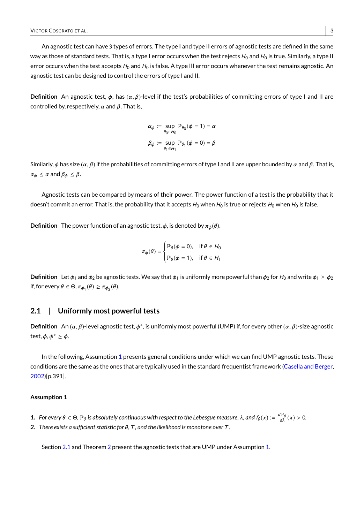An agnostic test can have 3 types of errors. The type I and type II errors of agnostic tests are defined in the same way as those of standard tests. That is, a type I error occurs when the test rejects  $H_0$  and  $H_0$  is true. Similarly, a type II error occurs when the test accepts  $H_0$  and  $H_0$  is false. A type III error occurs whenever the test remains agnostic. An agnostic test can be designed to control the errors of type I and II.

**Definition** An agnostic test,  $φ$ , has  $(α, β)$ -level if the test's probabilities of committing errors of type I and II are controlled by, respectively,  $\alpha$  and  $\beta$ . That is,

$$
\alpha_{\phi} := \sup_{\theta_0 \in H_0} \mathbb{P}_{\theta_0}(\phi = 1) = \alpha
$$

$$
\beta_{\phi} := \sup_{\theta_1 \in H_1} \mathbb{P}_{\theta_1}(\phi = 0) = \beta
$$

Similarly, φ has size ( $\alpha$ ,  $\beta$ ) if the probabilities of committing errors of type I and II are upper bounded by  $\alpha$  and  $\beta$ . That is,  $\alpha_{\phi} \leq \alpha$  and  $\beta_{\phi} \leq \beta$ .

Agnostic tests can be compared by means of their power. The power function of a test is the probability that it doesn't commit an error. That is, the probability that it accepts  $H_0$  when  $H_0$  is true or rejects  $H_0$  when  $H_0$  is false.

**Definition** The power function of an agnostic test,  $\phi$ , is denoted by  $\pi_{\phi}(\theta)$ .

$$
\pi_{\phi}(\theta) = \begin{cases} \mathbb{P}_{\theta}(\phi = 0), & \text{if } \theta \in H_0 \\ \mathbb{P}_{\theta}(\phi = 1), & \text{if } \theta \in H_1 \end{cases}
$$

**Definition** Let  $\phi_1$  and  $\phi_2$  be agnostic tests. We say that  $\phi_1$  is uniformly more powerful than  $\phi_2$  for  $H_0$  and write  $\phi_1 \geq \phi_2$ if, for every  $\theta \in \Theta$ ,  $\pi_{\phi_1}(\theta) \geq \pi_{\phi_2}(\theta)$ .

## <span id="page-2-0"></span>**2.1** | **Uniformly most powerful tests**

**Definition** An  $(α, β)$ -level agnostic test,  $φ$ <sup>\*</sup>, is uniformly most powerful (UMP) if, for every other  $(α, β)$ -size agnostic test,  $\phi, \phi^* \geq \phi$ .

In the following, Assumption [1](#page-2-1) presents general conditions under which we can find UMP agnostic tests. These conditions are the same as the ones that are typically used in the standard frequentist framework [\(Casella and Berger,](#page-15-0) [2002\)](#page-15-0)[p.391].

#### <span id="page-2-1"></span>**Assumption 1**

- **1.** For every  $\theta \in \Theta$ ,  $\mathbb{P}_{\theta}$  is absolutely continuous with respect to the Lebesgue measure, λ, and  $f_{\theta}(x) := \frac{d\mathbb{P}_{\theta}}{d\lambda}(x) > 0$ .
- <span id="page-2-2"></span>*2. There exists a sufficient statistic for* θ*,*T *, and the likelihood is monotone over*T *.*

Section [2.1](#page-2-2) and Theorem [2](#page-3-1) present the agnostic tests that are UMP under Assumption [1.](#page-2-1)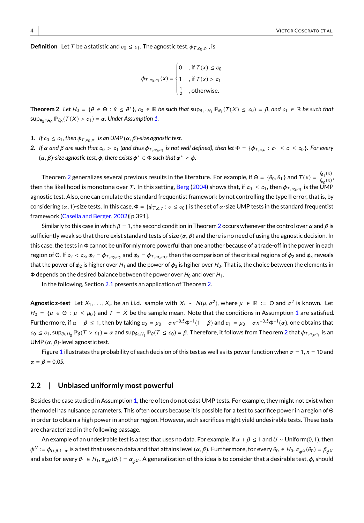**Definition** Let  $T$  be a statistic and  $c_0 \leq c_1$ . The agnostic test,  $\phi_{T,c_0,c_1}$ , is

$$
\phi_{T,c_0,c_1}(x) = \begin{cases} 0 & \text{if } T(x) \le c_0 \\ 1 & \text{if } T(x) > c_1 \\ \frac{1}{2} & \text{otherwise.} \end{cases}
$$

<span id="page-3-1"></span>**Theorem 2** Let  $H_0 = \{\theta \in \Theta : \theta \leq \theta^*\}$ ,  $c_0 \in \mathbb{R}$  be such that  $\sup_{\theta_1 \in H_1} \mathbb{P}_{\theta_1}(T(X) \leq c_0) = \beta$ , and  $c_1 \in \mathbb{R}$  be such that  $\sup_{\theta_0 \in H_0} \mathbb{P}_{\theta_0}(\mathcal{T}(X) > c_1) = \alpha$ . Under Assumption [1,](#page-2-1)

- *1.* If  $c_0 \le c_1$ , then  $\phi_{T,c_0,c_1}$  is an UMP  $(\alpha, \beta)$ -size agnostic test.
- <span id="page-3-2"></span>*2.* If α and β are such that  $c_0 > c_1$  (and thus φ<sub>T,c0</sub>,c<sub>1</sub> is not well defined), then let Φ = {φ<sub>T,c,c</sub> : c<sub>1</sub> ≤ c ≤ c<sub>0</sub>}. For every  $(\alpha, \beta)$ -size agnostic test,  $\phi$ , there exists  $\phi^* \in \Phi$  such that  $\phi^* \geq \phi$ .

Theorem [2](#page-3-1) generalizes several previous results in the literature. For example, if  $\Theta = \{\theta_0, \theta_1\}$  and  $T(x) = \frac{f_{\theta_1}(x)}{f_{\theta_0}(x)}$  $\frac{f_{\theta_0}(x)}{f_{\theta_0}(x)}$ , then the likelihood is monotone over T. In this setting, [Berg](#page-14-0) [\(2004\)](#page-14-0) shows that, if  $c_0 \le c_1$ , then  $\phi_{T,c_0,c_1}$  is the UMP  $\phi_{T,c_1,c_2}$ agnostic test. Also, one can emulate the standard frequentist framework by not controlling the type II error, that is, by considering  $(\alpha, 1)$ -size tests. In this case,  $\Phi = {\phi_{T,c,c} : c \leq c_0}$  is the set of  $\alpha$ -size UMP tests in the standard frequentist framework [\(Casella and Berger,](#page-15-0) [2002\)](#page-15-0)[p.391].

Similarly to this case in which  $β = 1$ , the second condition in Theorem [2](#page-3-1) occurs whenever the control over  $α$  and  $β$  is sufficiently weak so that there exist standard tests of size  $(\alpha, \beta)$  and there is no need of using the agnostic decision. In this case, the tests in Φ cannot be uniformly more powerful than one another because of a trade-off in the power in each region of Θ. If  $c_2 < c_3$ ,  $\phi_2 = \phi_{T,c_2,c_2}$  and  $\phi_3 = \phi_{T,c_3,c_3}$ , then the comparison of the critical regions of  $\phi_2$  and  $\phi_3$  reveals that the power of  $\phi_2$  is higher over  $H_1$  and the power of  $\phi_3$  is hgiher over  $H_0$ . That is, the choice between the elements in  $\Phi$  depends on the desired balance between the power over  $H_0$  and over  $H_1$ .

In the following, Section [2.1](#page-3-2) presents an application of Theorem [2.](#page-3-1)

**Agnostic z-test** Let  $X_1, \ldots, X_n$  be an i.i.d. sample with  $X_i \sim N(\mu, \sigma^2)$ , where  $\mu \in \mathbb{R} := \Theta$  and  $\sigma^2$  is known. Let  $H_0 = \{\mu \in \Theta : \mu \leq \mu_0\}$  and  $T = \bar{X}$  be the sample mean. Note that the conditions in Assumption [1](#page-2-1) are satisfied. Furthermore, if α + β ≤ 1, then by taking  $c_0 = \mu_0 - \sigma n^{-0.5}$ Φ<sup>-1</sup>(1 − β) and  $c_1 = \mu_0 - \sigma n^{-0.5}$ Φ<sup>-1</sup>(α), one obtains that  $c_0\leq c_1, \textsf{sup}_{\theta\in H_0}\mathbb{P}_\theta(T>c_1)=\alpha$  and  $\textsf{sup}_{\theta\in H_1}\mathbb{P}_\theta(T\leq c_0)=\beta.$  Therefore, it follows from Theorem [2](#page-3-1) that  $\phi_{T,c_0,c_1}$  is an<br>. . . . . . UMP  $(\alpha, \beta)$ -level agnostic test.

Figure [1](#page-4-0) illustrates the probability of each decision of this test as well as its power function when  $\sigma = 1$ ,  $n = 10$  and  $\alpha = \beta = 0.05$ .

## <span id="page-3-0"></span>**2.2** | **Unbiased uniformly most powerful**

Besides the case studied in Assumption [1,](#page-2-1) there often do not exist UMP tests. For example, they might not exist when the model has nuisance parameters. This often occurs because it is possible for a test to sacrifice power in a region of Θ in order to obtain a high power in another region. However, such sacrifices might yield undesirable tests. These tests are characterized in the following passage.

An example of an undesirable test is a test that uses no data. For example, if  $\alpha + \beta \le 1$  and  $U \sim$  Uniform(0, 1), then  $\phi^U := \phi_{U,\beta,1-\alpha}$  is a test that uses no data and that attains level  $(\alpha, \beta)$ . Furthermore, for every  $\theta_0 \in H_0$ ,  $\pi_{\phi^U}(\theta_0) = \beta_{\phi^U}(\theta_0)$ and also for every  $\theta_1 \in H_1$ ,  $\pi_{\phi} \cup (\theta_1) = \alpha_{\phi} \cup A$  generalization of this idea is to consider that a desirable test,  $\phi$ , should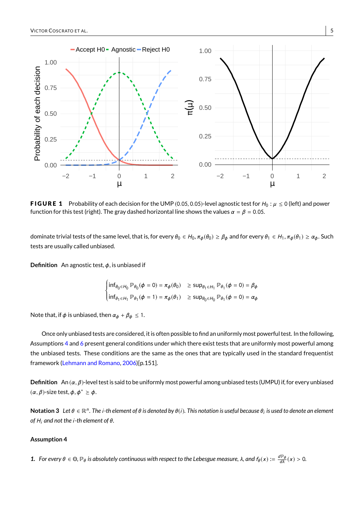<span id="page-4-0"></span>

**FIGURE 1** Probability of each decision for the UMP (0.05, 0.05)-level agnostic test for  $H_0: \mu \le 0$  (left) and power function for this test (right). The gray dashed horizontal line shows the values  $\alpha = \beta = 0.05$ .

dominate trivial tests of the same level, that is, for every  $\theta_0 \in H_0$ ,  $\pi_\phi(\theta_0) \geq \beta_\phi$  and for every  $\theta_1 \in H_1$ ,  $\pi_\phi(\theta_1) \geq \alpha_\phi$ . Such tests are usually called unbiased.

**Definition** An agnostic test, φ, is unbiased if

$$
\begin{cases} \inf_{\theta_0 \in H_0} \mathbb{P}_{\theta_0}(\phi = 0) = \pi_{\phi}(\theta_0) & \geq \sup_{\theta_1 \in H_1} \mathbb{P}_{\theta_1}(\phi = 0) = \beta_{\phi} \\ \inf_{\theta_1 \in H_1} \mathbb{P}_{\theta_1}(\phi = 1) = \pi_{\phi}(\theta_1) & \geq \sup_{\theta_0 \in H_0} \mathbb{P}_{\theta_1}(\phi = 0) = \alpha_{\phi} \end{cases}
$$

Note that, if  $\phi$  is unbiased, then  $\alpha_{\phi} + \beta_{\phi} \leq 1$ .

Once only unbiased tests are considered, it is often possible to find an uniformly most powerful test. In the following, Assumptions [4](#page-4-1) and [6](#page-5-0) present general conditions under which there exist tests that are uniformly most powerful among the unbiased tests. These conditions are the same as the ones that are typically used in the standard frequentist framework [\(Lehmann and Romano,](#page-15-12) [2006\)](#page-15-12)[p.151].

**Definition** An ( $\alpha$ ,  $\beta$ )-level test is said to be uniformly most powerful among unbiased tests (UMPU) if, for every unbiased  $(\alpha, \beta)$ -size test,  $\phi, \phi^* \geq \phi$ .

**Notation 3** Let θ ∈ ℝ<sup>n</sup>. The *i-th element of θ is denoted by θ(i)*. This notation is useful because θ<sub>i</sub> is used to denote an element *of* H<sup>i</sup> *and not the* i*-th element of* θ*.*

## <span id="page-4-1"></span>**Assumption 4**

**1.** For every  $\theta \in \Theta$ ,  $\mathbb{P}_{\theta}$  is absolutely continuous with respect to the Lebesgue measure,  $\lambda$ , and  $f_{\theta}(x) := \frac{d\mathbb{P}_{\theta}}{d\lambda}(x) > 0$ .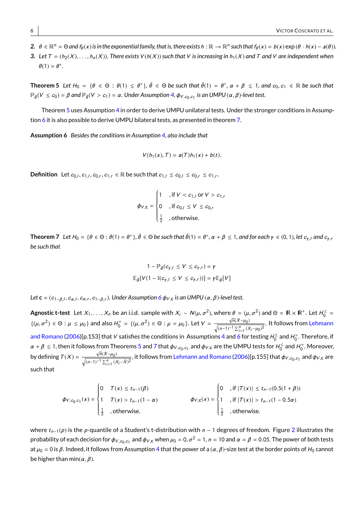- $2.$   $\theta \in \mathbb{R}^n = \Theta$  and  $f_{\theta}(x)$  is in the exponential family, that is, there exists  $h : \mathbb{R} \to \mathbb{R}^n$  such that  $f_{\theta}(x) = b(x) \exp(\theta \cdot h(x) a(\theta))$ .
- 3. Let  $T = (h_2(X), \ldots, h_n(X))$ . There exists  $V(h(X))$  such that V is increasing in  $h_1(X)$  and T and V are independent when  $\theta(1) = \theta^*$ .

<span id="page-5-1"></span>**Theorem 5** Let  $H_0 = \{\theta \in \Theta : \theta(1) \leq \theta^*\}, \bar{\theta} \in \Theta$  be such that  $\bar{\theta}(1) = \theta^*, \alpha + \beta \leq 1$ , and  $c_0, c_1 \in \mathbb{R}$  be such that  $\mathbb{P}_{\tilde{\theta}}(V \leq c_0) = \beta$  and  $\mathbb{P}_{\tilde{\theta}}(V > c_1) = \alpha$ . Under Assumption [4,](#page-4-1)  $\phi_{V, c_0, c_1}$  is an UMPU  $(\alpha, \beta)$ -level test.

Theorem [5](#page-5-1) uses Assumption [4](#page-4-1) in order to derive UMPU unilateral tests. Under the stronger conditions in Assumption [6](#page-5-0) it is also possible to derive UMPU bilateral tests, as presented in theorem [7.](#page-5-2)

<span id="page-5-0"></span>**Assumption 6** *Besides the conditions in Assumption [4,](#page-4-1) also include that*

$$
V(h_1(x),T)=a(T)h_1(x)+b(t).
$$

**Definition** Let  $c_{0,l}, c_{1,l}, c_{0,r}, c_{1,r} \in \mathbb{R}$  be such that  $c_{1,l} \leq c_{0,l} \leq c_{0,r} \leq c_{1,r}$ .

$$
\phi_{V,c} = \begin{cases} 1 & \text{if } V < c_{1,l} \text{ or } V > c_{1,l} \\ 0 & \text{if } c_{0,l} \le V \le c_{0,r} \\ \frac{1}{2} & \text{otherwise.} \end{cases}
$$

<span id="page-5-2"></span>**Theorem 7** Let  $H_0 = \{\theta \in \Theta : \theta(1) = \theta^*\}$ ,  $\bar{\theta} \in \Theta$  be such that  $\bar{\theta}(1) = \theta^*, \alpha + \beta \leq 1$ , and for each  $\gamma \in (0, 1)$ , let  $c_{\gamma, l}$  and  $c_{\gamma, l}$ *be such that*

$$
1 - \mathbb{P}_{\tilde{\theta}}(c_{\gamma, I} \le V \le c_{\gamma, r}) = \gamma
$$
  

$$
\mathbb{E}_{\tilde{\theta}}[V(1 - \mathbb{I}(c_{\gamma, I} \le V \le c_{\gamma, r}))] = \gamma \mathbb{E}_{\tilde{\theta}}[V]
$$

Let **c** = ( $c_{1-\beta,I}, c_{\alpha,I}, c_{\alpha,r}, c_{1-\beta,r}$ ). Under Assumption [6](#page-5-0)  $\phi_{V, \mathbf{c}}$  is an UMPU ( $\alpha, \beta$ )-level test.

**Agnostic t-test** Let  $X_1, \ldots, X_n$  be an i.i.d. sample with  $X_i \sim N(\mu, \sigma^2)$ , where  $\theta = (\mu, \sigma^2)$  and  $\Theta = \mathbb{R} \times \mathbb{R}^+$ . Let  $H_0^{\leq} =$ {( $\mu, \sigma^2$ )  $\in \Theta : \mu \le \mu_0$ } and also  $H_0^{\pm} = \{(\mu, \sigma^2) \in \Theta : \mu = \mu_0\}$ . Let  $V = \frac{\sqrt{n}(\bar{X} - \mu_0)}{\sqrt{(n-1)^{-1} \sum_{i=1}^n (X_i - \mu_0)^2}}$  $\frac{\sqrt{n(\lambda - \mu_0)}}{\sqrt{(n-1)^{-1} \sum_{i=1}^n (X_i - \mu_0)^2}}$ . It follows from [Lehmann](#page-15-12) [and Romano](#page-15-12) [\(2006\)](#page-15-12)[p.153] that  $V$  satisfies the conditions in Assumptions [4](#page-4-1) and [6](#page-5-0) for testing  $H_0^\le$  and  $H_0^\equiv$  . Therefore, if  $\alpha + \beta \le 1$ , then it follows from Theorems [5](#page-5-1) and [7](#page-5-2) that  $\phi_{V,c_0,c_1}$  and  $\phi_{V,c}$  are the UMPU tests for  $H_0^{\le}$  and  $H_0^{\equiv}$ . Moreover,  $c_1$  and  $\varphi_{V,{\bf c}}$  are the OlviPO tests for  $H_0^-$  and  $H_0^$ by defining  $T(X) = \frac{\sqrt{n}(\bar{X}-\mu_0)}{\sqrt{n}(\bar{X}-\mu_0)}$  $\frac{\sqrt{n(x-\mu_0)}}{\sqrt{(n-1)^{-1}\sum_{i=1}^n (X_i-\bar{X})^2}}$ , it follows from [Lehmann and Romano](#page-15-12) [\(2006\)](#page-15-12)[p.155] that  $\phi_{V,c_0,c_1}$  and  $\phi_{V,\mathbf{c}}$  are such that

$$
\phi_{V,c_0,c_1}(x) = \begin{cases}\n0 & T(x) \le t_{n-1}(\beta) \\
1 & T(x) > t_{n-1}(1-\alpha) \\
\frac{1}{2} & \text{,otherwise.} \n\end{cases}\n\qquad\n\phi_{V,c}(x) = \begin{cases}\n0 & \text{, if } |T(x)| \le t_{n-1}(0.5(1+\beta)) \\
1 & \text{, if } |T(x)| > t_{n-1}(1-0.5\alpha) \\
\frac{1}{2} & \text{, otherwise.}\n\end{cases}
$$

where  $t_{n-1}(p)$  is the p-quantile of a Student's t-distribution with n − 1 degrees of freedom. Figure [2](#page-6-1) illustrates the probability of each decision for  $\phi_{V, c_0, c_1}$  and  $\phi_{V, c}$  when  $\mu_0 = 0$ ,  $\sigma^2 = 1$ ,  $n = 10$  and  $\alpha = \beta = 0.05$ . The power of both tests at  $\mu_0 = 0$  is  $\beta$ . Indeed, it follows from Assumption [4](#page-4-1) that the power of a  $(\alpha, \beta)$ -size test at the border points of  $H_0$  cannot be higher than min( $\alpha$ ,  $\beta$ ).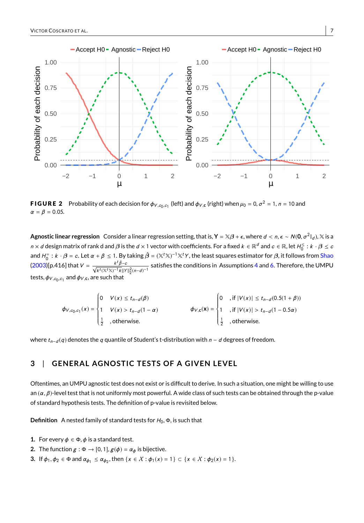<span id="page-6-1"></span>

**FIGURE 2** Probability of each decision for  $\phi_{V,c_0,c_1}$  (left) and  $\phi_{V,c}$  (right) when  $\mu_0 = 0$ ,  $\sigma^2 = 1$ ,  $n = 10$  and  $\alpha = \beta = 0.05$ .

**Agnostic linear regression** Consider a linear regression setting, that is, **Y** =  $\mathbb{X}\beta$  +  $\epsilon$ , where  $d < n$ ,  $\epsilon \sim N(0, \sigma^2\mathbb{I}_d)$ ,  $\mathbb{X}$  is a  $n\times d$  design matrix of rank d and  $\beta$  is the  $d\times 1$  vector with coefficients. For a fixed  $k\in\R^d$  and  $c\in\R$ , let  $H_0^\leq :k\cdot\beta\leq c$ and  $H_0^=$ :  $k \cdot \beta = c$ . Let  $\alpha + \beta \le 1$ . By taking  $\hat{\beta} = (\mathbb{X}^t \mathbb{X})^{-1} \mathbb{X}^t Y$ , the least squares estimator for  $\beta$ , it follows from [Shao](#page-15-13)  $(2003)[p.416]$  $(2003)[p.416]$  that  $V =$  $\frac{k^t \hat{\beta} - c}{\sqrt{k^t (\mathbb{X}^t \mathbb{X})^{-1} k} ||Y||_2^2 (n - d)^{-1}}$  satisfies the conditions in Assumptions [4](#page-4-1) and [6.](#page-5-0) Therefore, the UMPU tests,  $\phi_{V, c_0, c_1}$  and  $\phi_{V, \mathbf{c}}$ , are such that

$$
\phi_{V,c_0,c_1}(x) = \begin{cases}\n0 & V(x) \le t_{n-d}(\beta) \\
1 & V(x) > t_{n-d}(1-\alpha) \\
\frac{1}{2} & \text{,otherwise.} \n\end{cases}\n\qquad\n\phi_{V,c}(x) = \begin{cases}\n0 & \text{, if } |V(x)| \le t_{n-d}(0.5(1+\beta)) \\
1 & \text{, if } |V(x)| > t_{n-d}(1-0.5\alpha) \\
\frac{1}{2} & \text{, otherwise.}\n\end{cases}
$$

where  $t_{n-d}(q)$  denotes the q quantile of Student's t-distribution with  $n-d$  degrees of freedom.

# <span id="page-6-0"></span>**3** | **GENERAL AGNOST IC TESTS OF A G IVEN LEVEL**

Oftentimes, an UMPU agnostic test does not exist or is difficult to derive. In such a situation, one might be willing to use an  $(\alpha, \beta)$ -level test that is not uniformly most powerful. A wide class of such tests can be obtained through the p-value of standard hypothesis tests. The definition of p-value is revisited below.

**Definition** A nested family of standard tests for  $H_0$ ,  $\Phi$ , is such that

- **1.** For every  $\phi \in \Phi$ ,  $\phi$  is a standard test.
- **2.** The function  $g : \Phi \to [0, 1], g(\phi) = \alpha_{\phi}$  is bijective.
- **3.** If  $\phi_1, \phi_2 \in \Phi$  and  $\alpha_{\phi_1} \leq \alpha_{\phi_2}$ , then  $\{x \in \mathcal{X} : \phi_1(x) = 1\} \subset \{x \in \mathcal{X} : \phi_2(x) = 1\}.$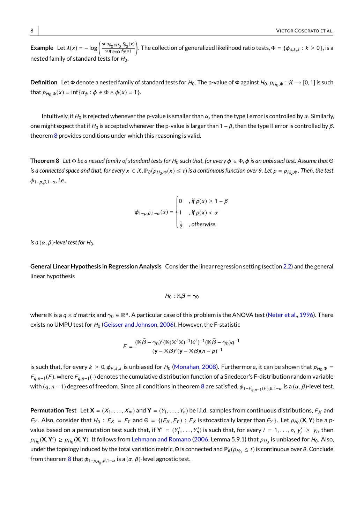**Example** Let  $\lambda(x) = -\log \left( \frac{\sup_{\theta_0 \in H_0} f_{\theta_0}(x)}{\sup_{\theta_0 \in H_0} f_0(x)} \right)$  $\sup_{\theta \in \Theta} f_{\theta}(x)$ ). The collection of generalized likelihood ratio tests,  $\Phi = \{\phi_{\lambda,k,k}: k \ge 0\}$ , is a nested family of standard tests for  $H_0$ .

**Definition** Let Φ denote a nested family of standard tests for  $H_0$ . The p-value of Φ against  $H_0$ ,  $\rho_{H_0,\Phi}: X \to [0,1]$  is such that  $p_{H_0,\Phi}(x) = \inf \{ \alpha_{\phi} : \phi \in \Phi \wedge \phi(x) = 1 \}.$ 

Intuitively, if  $H_0$  is rejected whenever the p-value is smaller than  $\alpha$ , then the type I error is controlled by  $\alpha$ . Similarly, one might expect that if  $H_0$  is accepted whenever the p-value is larger than  $1 - \beta$ , then the type II error is controlled by  $\beta$ . theorem [8](#page-7-0) provides conditions under which this reasoning is valid.

<span id="page-7-0"></span>**Theorem 8** Let Φ be a nested family of standard tests for H<sub>0</sub> such that, for every φ ∈ Φ, φ is an unbiased test. Assume that Θ  $i$ s a connected space and that, for every  $x \in X$ ,  $\mathbb{P}_{\theta}(p_{H_0,\Phi}(x) \leq t)$  is a continuous function over  $\theta$ . Let  $p = p_{H_0,\Phi}$ . Then, the test<br> <sup>φ</sup>1−p,β,1−<sup>α</sup> *, i.e.,*

$$
\phi_{1-\rho,\beta,1-\alpha}(x) = \begin{cases}\n0 & , \text{if } \rho(x) \ge 1-\beta \\
1 & , \text{if } \rho(x) < \alpha \\
\frac{1}{2} & , \text{otherwise.} \n\end{cases}
$$

*is a*  $(\alpha, \beta)$ *-level test for H*<sub>0</sub>*.* 

**General Linear Hypothesis in Regression Analysis** Consider the linear regression setting (section [2.2\)](#page-6-1) and the general linear hypothesis

$$
H_0: \mathbb{K}\beta = \gamma_0
$$

where  $\Bbbk$  is a  $q\times d$  matrix and  $\gamma_0\in\Bbb R^q.$  A particular case of this problem is the ANOVA test [\(Neter et al.,](#page-15-14) [1996\)](#page-15-14). There exists no UMPU test for  $H_0$  [\(Geisser and Johnson,](#page-15-15) [2006\)](#page-15-15). However, the F-statistic

$$
F = \frac{(\mathbb{K}\widehat{\boldsymbol{\beta}} - \gamma_0)^t(\mathbb{K}(\mathbb{X}^t\mathbb{X})^{-1}\mathbb{K}^t)^{-1}(\mathbb{K}\widehat{\boldsymbol{\beta}} - \gamma_0)q^{-1}}{(\mathbf{y} - \mathbb{X}\boldsymbol{\beta})^t(\mathbf{y} - \mathbb{X}\boldsymbol{\beta})(n - p)^{-1}}
$$

is such that, for every  $k \ge 0$ ,  $\phi_{F,k,k}$  is unbiased for  $H_0$  [\(Monahan,](#page-15-16) [2008\)](#page-15-16). Furthermore, it can be shown that  $\rho_{H_0,\Phi}$  $F_{q,n-1}(F)$ , where  $F_{q,n-1}(\cdot)$  denotes the cumulative distribution function of a Snedecor's F-distribution random variable with ( $q$ ,  $n-1$ ) degrees of freedom. Since all conditions in theorem [8](#page-7-0) are satisfied,  $\phi_{1-F_{q,n-1}(F),\beta,1-\alpha}$  is a  $(\alpha,\beta)$ -level test.

**Permutation Test** Let  $X = (X_1, \ldots, X_m)$  and  $Y = (Y_1, \ldots, Y_n)$  be i.i.d. samples from continuous distributions,  $F_X$  and F<sub>Y</sub>. Also, consider that  $H_0$ :  $F_X = F_Y$  and  $\Theta = \{(F_X, F_Y) : F_X$  is stocastically larger than  $F_Y\}$ . Let  $p_{H_0}(\mathbf{X}, \mathbf{Y})$  be a pvalue based on a permutation test such that, if  $Y' = (Y'_1, \ldots, Y'_n)$  is such that, for every  $i = 1, \ldots, n$ ,  $Y'_i \geq y_i$ , then  $p_{H_0}(\mathbf{X}, \mathbf{Y}') \ge p_{H_0}(\mathbf{X}, \mathbf{Y})$ . It follows from [Lehmann and Romano](#page-15-12) [\(2006,](#page-15-12) Lemma 5.9.1) that  $p_{H_0}$  is unbiased for  $H_0$ . Also, under the topology induced by the total variation metric, Θ is connected and  $\mathbb{P}_\theta(\rho_{H_0}\leq t)$  is continuous over  $\theta.$  Conclude from theorem  $8$  that  $\phi_{1-\rho_{H_0},\beta,1-\alpha}$  is a  $(\alpha,\beta)$ -level agnostic test.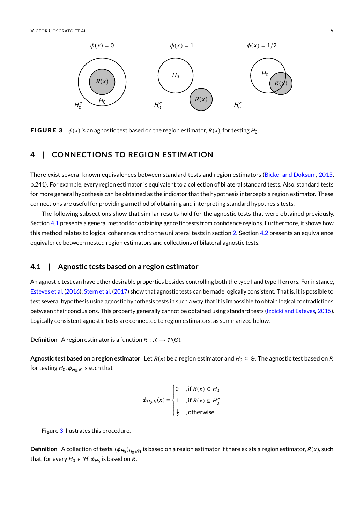<span id="page-8-2"></span>

**FIGURE 3**  $\phi(x)$  is an agnostic test based on the region estimator,  $R(x)$ , for testing  $H_0$ .

## <span id="page-8-0"></span>**4** | **CONNECT IONS TO REG ION EST IMAT ION**

There exist several known equivalences between standard tests and region estimators [\(Bickel and Doksum,](#page-14-1) [2015,](#page-14-1) p.241). For example, every region estimator is equivalent to a collection of bilateral standard tests. Also, standard tests for more general hypothesis can be obtained as the indicator that the hypothesis intercepts a region estimator. These connections are useful for providing a method of obtaining and interpreting standard hypothesis tests.

The following subsections show that similar results hold for the agnostic tests that were obtained previously. Section [4.1](#page-8-1) presents a general method for obtaining agnostic tests from confidence regions. Furthermore, it shows how this method relates to logical coherence and to the unilateral tests in section [2.](#page-1-0) Section [4.2](#page-10-0) presents an equivalence equivalence between nested region estimators and collections of bilateral agnostic tests.

## <span id="page-8-1"></span>**4.1** | **Agnostic tests based on a region estimator**

An agnostic test can have other desirable properties besides controlling both the type I and type II errors. For instance, [Esteves et al.](#page-15-6) [\(2016\)](#page-15-6); [Stern et al.](#page-15-7) [\(2017\)](#page-15-7) show that agnostic tests can be made logically consistent. That is, it is possible to test several hypothesis using agnostic hypothesis tests in such a way that it is impossible to obtain logical contradictions between their conclusions. This property generally cannot be obtained using standard tests [\(Izbicki and Esteves,](#page-15-17) [2015\)](#page-15-17). Logically consistent agnostic tests are connected to region estimators, as summarized below.

**Definition** A region estimator is a function  $R: X \to \mathcal{P}(\Theta)$ .

**Agnostic test based on a region estimator** Let  $R(x)$  be a region estimator and  $H_0 \subseteq \Theta$ . The agnostic test based on R for testing  $H_0, \bm{\phi}_{H_0,R}$  is such that

$$
\phi_{H_0,R}(x) = \begin{cases}\n0 & , \text{if } R(x) \subseteq H_0 \\
1 & , \text{if } R(x) \subseteq H_0^c \\
\frac{1}{2} & , \text{otherwise.} \n\end{cases}
$$

Figure [3](#page-8-2) illustrates this procedure.

<span id="page-8-3"></span> ${\sf Definition ~A}$  collection of tests,  $(\phi_{H_0})_{H_0\in\mathcal{H}}$  is based on a region estimator if there exists a region estimator,  $R(x)$ , such that, for every  $H_0 \in {\mathcal H}, \bm{\phi}_{H_0}$  is based on  $R.$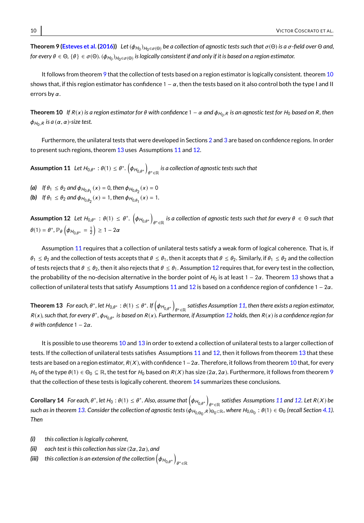${\sf Theorem}$  9  $({\sf Esteves\ et\ al.\ } (2016))$  $({\sf Esteves\ et\ al.\ } (2016))$  $({\sf Esteves\ et\ al.\ } (2016))$   $\;$  Let  $(\phi_{H_0})_{H_0\in\sigma(\Theta)}$  be a collection of agnostic tests such that  $\sigma(\Theta)$  is a  $\sigma$ -field over  $\Theta$  and, *for every θ ∈ Θ, {θ} ∈ σ*(Θ). ( $\phi$ <sub>Η0</sub>) $_{H_0 ∈ \sigma(Θ)}$  is logically consistent if and only if it is based on a region estimator.

It follows from theorem [9](#page-8-3) that the collection of tests based on a region estimator is logically consistent, theorem [10](#page-9-0) shows that, if this region estimator has confidence  $1 - \alpha$ , then the tests based on it also control both the type I and II errors by  $\alpha$ .

<span id="page-9-0"></span>**Theorem 10** If R(x) is a region estimator for θ with confidence 1 − α and φ<sub>H0</sub>, $R$  is an agnostic test for H<sub>0</sub> based on R, then  $φ_{H_0,R}$  is a  $(α, α)$ -size test.

Furthermore, the unilateral tests that were developed in Sections [2](#page-1-0) and [3](#page-6-0) are based on confidence regions. In order to present such regions, theorem [13](#page-9-1) uses Assumptions [11](#page-9-2) and [12.](#page-9-3)

<span id="page-9-2"></span>**Assumption 11** Let  $H_{0,\theta^*}: \theta(1) \leq \theta^*.$   $\left(\phi_{H_{0,\theta^*}}\right)$  $_{\theta^*\in\mathbb{R}}$  is a collection of agnostic tests such that

- (a) If  $\theta_1 \le \theta_2$  and  $\phi_{H_{0,\theta_1}}(x) = 0$ , then  $\phi_{H_{0,\theta_2}}(x) = 0$
- **(b)** If  $\theta_1 \le \theta_2$  and  $\phi_{H_{0,\theta_2}}(x) = 1$ , then  $\phi_{H_{0,\theta_1}}(x) = 1$ .

<span id="page-9-3"></span> $\textsf{Assumption 12} \ \ \textit{Let} \ H_{0,\theta^*}:\ \theta(1) \ \leq \ \theta^*. \ \left(\phi_{H_{0,\theta^*}}\right)$ *θ*\*∈ℝ *is a collection of agnostic tests such that for every θ* ∈ Θ *such that*  $\theta(1) = \theta^*, \mathbb{P}_{\theta}\left(\phi_{H_{0,\theta^*}} = \frac{1}{2}\right) \ge 1 - 2\alpha$ 

Assumption [11](#page-9-2) requires that a collection of unilateral tests satisfy a weak form of logical coherence. That is, if  $\theta_1 \leq \theta_2$  and the collection of tests accepts that  $\theta \leq \theta_1$ , then it accepts that  $\theta \leq \theta_2$ . Similarly, if  $\theta_1 \leq \theta_2$  and the collection of tests rejects that  $\theta \le \theta_2$ , then it also rejects that  $\theta \le \theta_1$ . Assumption [12](#page-9-3) requires that, for every test in the collection, the probability of the no-decision alternative in the border point of  $H_0$  is at least 1 – 2 $\alpha$ . Theorem [13](#page-9-1) shows that a collection of unilateral tests that satisfy Assumptions [11](#page-9-2) and [12](#page-9-3) is based on a confidence region of confidence  $1 - 2\alpha$ .

<span id="page-9-1"></span>**Theorem 13** *For each,*  $\theta^*$ , *let*  $H_{0,\theta^*}: \theta(1) \leq \theta^*$ . If  $(\phi_{H_{0,\theta^*}})$  $θ^* ∈ ℝ$  satisfies Assumption [11,](#page-9-2) then there exists a region estimator, *R*(x), such that, for every θ<sup>\*</sup>, φ<sub>H<sub>0,θ</sub>\* is based on *R*(x). Furthermore, if Assumption [12](#page-9-3) holds, then *R*(x) is a confidence region for</sub> θ *with confidence* 1 − 2α*.*

It is possible to use theorems [10](#page-9-0) and [13](#page-9-1) in order to extend a collection of unilateral tests to a larger collection of tests. If the collection of unilateral tests satisfies Assumptions [11](#page-9-2) and [12,](#page-9-3) then it follows from theorem [13](#page-9-1) that these tests are based on a region estimator,  $R(X)$ , with confidence 1 - 2 $\alpha$ . Therefore, it follows from theorem [10](#page-9-0) that, for every H<sub>0</sub> of the type  $\theta(1) \in \Theta_0 \subseteq \mathbb{R}$ , the test for H<sub>0</sub> based on  $R(X)$  has size  $(2\alpha, 2\alpha)$ . Furthermore, it follows from theorem [9](#page-8-3) that the collection of these tests is logically coherent. theorem [14](#page-9-4) summarizes these conclusions.

<span id="page-9-4"></span>**Corollary 14** *For each,*  $\theta^*$ , let  $H_0 : \theta(1) \leq \theta^*$ . Also, assume that  $\left(\phi_{H_{0,\theta^*}}\right)$ *e*\* $\in$ **R** satisfies Assumptions [11](#page-9-2) and [12.](#page-9-3) Let  $R(X)$  be  $s$ uch as in theorem [13.](#page-9-1) Consider the collection of agnostic tests (φ $_{H_{0,\Theta_{0}},R}$ ) $_{\Theta_{0}}$ ∈ℝ, where  $H_{0,\Theta_{0}}:\theta(1)\in\Theta_{0}$  (recall Section [4.1\)](#page-8-1).<br><del>τ</del>ι *Then*

- *(i) this collection is logically coherent,*
- *(ii) each test is this collection has size* (2α, <sup>2</sup>α)*, and*
- (iii)  $\;$  this collection is an extension of the collection  $\left(\phi_{H_{0,\theta^*}}\right)$  $\theta^*\in\mathbb{R}$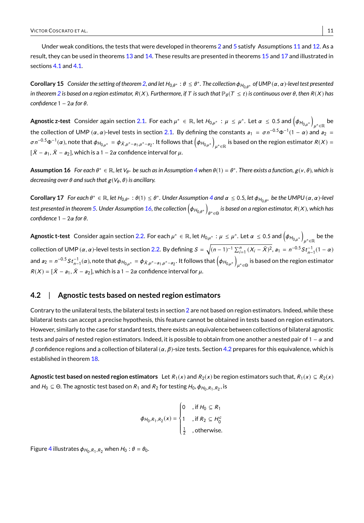Under weak conditions, the tests that were developed in theorems [2](#page-3-1) and [5](#page-5-1) satisfy Assumptions [11](#page-9-2) and [12.](#page-9-3) As a result, they can be used in theorems [13](#page-9-1) and [14.](#page-9-4) These results are presented in theorems [15](#page-10-1) and [17](#page-10-2) and illustrated in sections [4.1](#page-10-1) and [4.1.](#page-10-2)

<span id="page-10-1"></span>**Corollary 15** *Consider the setting of theorem [2,](#page-3-1) and let* <sup>H</sup>0,<sup>θ</sup> <sup>∗</sup> : θ ≤ θ ∗ *. The collection*φH0,<sup>θ</sup> <sup>∗</sup> *of UMP* (α, <sup>α</sup>)*-level test presented in theorem* [2](#page-3-1) *is based on a region estimator,*  $R(X)$ *. Furthermore, if* T *is such that*  $\mathbb{P}_{\theta}(T \leq t)$  *is continuous over*  $\theta$ *, then*  $R(X)$  *has confidence* 1 − 2α *for* θ*.*

**Agnostic z-test** Consider again section [2.1.](#page-3-2) For each  $\mu^* \in \mathbb{R}$ , let  $H_{0,\mu^*}$  :  $\mu \leq \mu^*$ . Let  $\alpha \leq 0.5$  and  $\left(\phi_{H_{0,\mu^*}}\right)$  $\mu^*\in\mathbb{R}$  be the collection of UMP ( $\alpha$ ,  $\alpha$ )-level tests in section [2.1.](#page-3-2) By defining the constants  $a_1 = \sigma n^{-0.5} \Phi^{-1} (1 - \alpha)$  and  $a_2 =$ σn<sup>−0.5</sup>Φ<sup>−1</sup>(α), note that  $\phi_{H_{0,\mu^*}} = \phi_{\bar{X},\mu^* - a_1,\mu^* - a_2}$ . It follows that  $\left(\phi_{H_{0,\mu^*}}\right)$  $\mu^*\in\mathbb{R}$  is based on the region estimator  $R(X)=$  $[\bar{X} - a_1, \bar{X} - a_2]$ , which is a 1 – 2 $\alpha$  confidence interval for  $\mu$ .

<span id="page-10-3"></span> $\Delta$ **ssumption 16** For each  $\theta^* \in \mathbb{R}$ , let  $V_{\theta^*}$  be such as in Assumption [4](#page-4-1) when  $\theta(1) = \theta^*$ . There exists a function,  $g(v, \theta)$ , which is *decreasing over*  $\theta$  *and such that*  $g(V_{\theta}, \theta)$  *is ancillary.* 

<span id="page-10-2"></span>**Corollary 17** For each  $\theta^* \in \mathbb{R}$ , let  $H_{0,\theta^*} : \theta(1) \leq \theta^*$ . Under Assumption [4](#page-4-1) and  $\alpha \leq 0.5$ , let  $\phi_{H_{0,\theta^*}}$  be the UMPU  $(\alpha, \alpha)$ -level *test presented in theorem [5.](#page-5-1) Under Assumption [16,](#page-10-3) the collection*  $(\phi_{H_{0,\theta^*}})$ θ ∗∈Θ *is based on a region estimator,* R(X )*, which has confidence* 1 − 2α *for* θ*.*

**Agnostic t-test** Consider again section [2.2.](#page-5-2) For each  $\mu^* \in \mathbb{R}$ , let  $H_{0,\mu^*}$  :  $\mu \leq \mu^*$ . Let  $\alpha \leq 0.5$  and  $\left(\phi_{H_{0,\mu^*}}\right)$  $\mu^*\in\mathbb{R}$  be the collection of UMP (α, α)-level tests in section [2.2.](#page-5-2) By defining  $S = \sqrt{(n-1)^{-1} \sum_{i=1}^{n} (X_i - \bar{X})^2}$ ,  $a_1 = n^{-0.5} S t_{n-1}^{-1} (1 - \alpha)$ and  $a_2 = n^{-0.5} S t_{n-1}^{-1}(\alpha)$ , note that  $\phi_{H_{0,\mu^*}} = \phi_{\bar{X},\mu^* - a_1, \mu^* - a_2}$ . It follows that  $(\phi_{H_{0,\mu^*}})$  $\mu^*$ ∈⊖ is based on the region estimator  $R(X) = [\bar{X} - a_1, \bar{X} - a_2]$ , which is a 1 – 2 $\alpha$  confidence interval for  $\mu$ .

## <span id="page-10-0"></span>**4.2** | **Agnostic tests based on nested region estimators**

Contrary to the unilateral tests, the bilateral tests in section [2](#page-1-0) are not based on region estimators. Indeed, while these bilateral tests can accept a precise hypothesis, this feature cannot be obtained in tests based on region estimators. However, similarly to the case for standard tests, there exists an equivalence between collections of bilateral agnostic tests and pairs of nested region estimators. Indeed, it is possible to obtain from one another a nested pair of  $1 - \alpha$  and  $β$  confidence regions and a collection of bilateral  $(α, β)$ -size tests. Section [4.2](#page-10-0) prepares for this equivalence, which is established in theorem [18.](#page-11-1)

**Agnostic test based on nested region estimators** Let  $R_1(x)$  and  $R_2(x)$  be region estimators such that,  $R_1(x) \subseteq R_2(x)$ and  $H_0 \subseteq \Theta$ . The agnostic test based on  $R_1$  and  $R_2$  for testing  $H_0$ ,  $\phi_{H_0,R_1,R_2}$ , is

$$
\phi_{H_0,R_1,R_2}(x) = \begin{cases}\n0 & , \text{if } H_0 \subseteq R_1 \\
1 & , \text{if } R_2 \subseteq H_0^c \\
\frac{1}{2} & , \text{otherwise.} \n\end{cases}
$$

Figure [4](#page-11-2) illustrates  $\phi_{H_0,R_1,R_2}$  when  $H_0$  :  $\theta = \theta_0$ .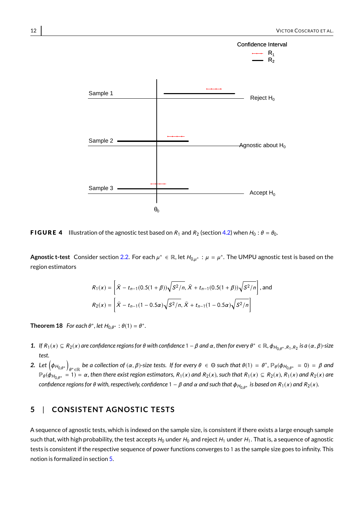<span id="page-11-2"></span>

**FIGURE 4** Illustration of the agnostic test based on  $R_1$  and  $R_2$  (section [4.2\)](#page-10-0) when  $H_0$ :  $\theta = \theta_0$ .

**Agnostic t-test** Consider section [2.2.](#page-5-2) For each  $\mu^* \in \mathbb{R}$ , let  $H_{0,\mu^*} : \mu = \mu^*$ . The UMPU agnostic test is based on the region estimators

$$
R_1(x) = \left[ \bar{X} - t_{n-1}(0.5(1+\beta))\sqrt{S^2/n}, \bar{X} + t_{n-1}(0.5(1+\beta))\sqrt{S^2/n} \right], \text{and}
$$
  

$$
R_2(x) = \left[ \bar{X} - t_{n-1}(1 - 0.5\alpha)\sqrt{S^2/n}, \bar{X} + t_{n-1}(1 - 0.5\alpha)\sqrt{S^2/n} \right]
$$

<span id="page-11-1"></span>**Theorem 18** For each  $\theta^*$ , let  $H_{0,\theta^*}$  :  $\theta(1) = \theta^*$ .

- **1.** If  $R_1(x) \subseteq R_2(x)$  are confidence regions for  $\theta$  with confidence  $1 \beta$  and  $\alpha$ , then for every  $\theta^* \in \mathbb{R}$ ,  $\phi_{H_{0,\theta^*},R_1,R_2}$  is a  $(\alpha, \beta)$ -size *test.*
- **2.** Let  $\left(\phi_{H_{0,\theta^*}}\right)$ *θ* ∗<sub>∈</sub>ℝ *be a collection of* (*α, β*)*-size tests. If for every θ* ∈ Θ *such that*  $θ(1) = θ^*$ ,  $\mathbb{P}_θ(φ_{H_{0,\theta^*}} = 0) = β$  and  $\mathbb{P}_{\theta}(\phi_{H_{0,\theta^*}} = 1) = \alpha$ , then there exist region estimators,  $R_1(x)$  and  $R_2(x)$ , such that  $R_1(x) \subseteq R_2(x)$ ,  $R_1(x)$  and  $R_2(x)$  are  $\epsilon$  *confidence regions for θ with, respectively, confidence 1*  $-\beta$  *and*  $\alpha$  *and such that*  $\phi_{H_{0,\theta^*}}$  *is based on*  $R_1(x)$  *and*  $R_2(x)$ *.*

# <span id="page-11-0"></span>**5** | **CONSISTENT AGNOSTIC TESTS**

A sequence of agnostic tests, which is indexed on the sample size, is consistent if there exists a large enough sample such that, with high probability, the test accepts  $H_0$  under  $H_0$  and reject  $H_1$  under  $H_1$ . That is, a sequence of agnostic tests is consistent if the respective sequence of power functions converges to 1 as the sample size goes to infinity. This notion is formalized in section [5.](#page-11-0)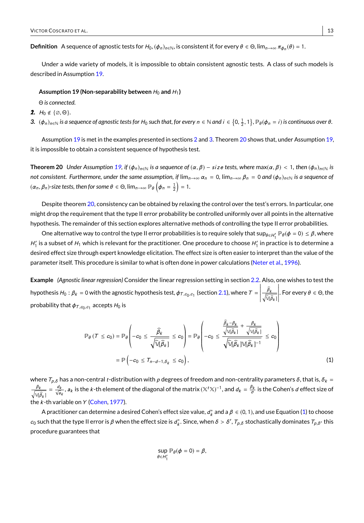**Definition** A sequence of agnostic tests for  $H_0$ ,  $(\phi_n)_{n\in\mathbb{N}}$ , is consistent if, for every  $\theta\in\Theta$ ,  $\lim_{n\to\infty}\pi_{\phi_n}(\theta)=1.$ 

Under a wide variety of models, it is impossible to obtain consistent agnostic tests. A class of such models is described in Assumption [19.](#page-12-0)

### <span id="page-12-0"></span>Assumption 19 (Non-separability between  $H_0$  and  $H_1$ )

Θ *is connected.*

- *1.*  $H_0 \notin \{ \emptyset, \Theta \}.$
- **3.**  $(\phi_n)_{n \in \mathbb{N}}$  is a sequence of agnostic tests for  $H_0$  such that, for every  $n \in \mathbb{N}$  and  $i \in \{0, \frac{1}{2}, 1\}$ ,  $\mathbb{P}_{\theta}(\phi_n = i)$  is continuous over  $\theta$ .

Assumption [19](#page-12-0) is met in the examples presented in sections [2](#page-1-0) and [3.](#page-6-0) Theorem [20](#page-12-1) shows that, under Assumption [19,](#page-12-0) it is impossible to obtain a consistent sequence of hypothesis test.

<span id="page-12-1"></span>**Theorem 20** *Under Assumption* [19,](#page-12-0) *if*  $(\phi_n)_{n \in \mathbb{N}}$  *is a sequence of*  $(\alpha, \beta) - size$  *tests, where*  $\max(\alpha, \beta) < 1$ , *then*  $(\phi_n)_{n \in \mathbb{N}}$  *is not consistent. Furthermore, under the same assumption, if*  $\lim_{n\to\infty} \alpha_n = 0$ ,  $\lim_{n\to\infty} \beta_n = 0$  and  $(\phi_n)_{n\in\mathbb{N}}$  *is a sequence of*  $(\alpha_n, \beta_n)$ -size tests, then for some  $\theta \in \Theta$ ,  $\lim_{n \to \infty} \mathbb{P}_{\theta} \left( \phi_n = \frac{1}{2} \right) = 1$ .

Despite theorem [20,](#page-12-1) consistency can be obtained by relaxing the control over the test's errors. In particular, one might drop the requirement that the type II error probability be controlled uniformly over all points in the alternative hypothesis. The remainder of this section explores alternative methods of controlling the type II error probabilities.

One alternative way to control the type II error probabilities is to require solely that  $\sup_{\theta\in H_1'}\mathbb{P}_\theta(\phi=0)\leq\beta,$  where  $H'_1$  is a subset of  $H_1$  which is relevant for the practitioner. One procedure to choose  $H'_1$  in practice is to determine a desired effect size through expert knowledge elicitation. The effect size is often easier to interpret than the value of the parameter itself. This procedure is similar to what is often done in power calculations [\(Neter et al.,](#page-15-14) [1996\)](#page-15-14).

**Example** *(Agnostic linear regression)* Consider the linear regression setting in section [2.2.](#page-6-1) Also, one wishes to test the hypothesis  $H_0: \beta_k = 0$  with the agnostic hypothesis test,  $\phi_{T,c_0,c_1}$  (section [2.1\)](#page-2-2), where  $T =$   $\frac{\beta_k}{\sqrt{\widehat{\mathbb{Q}}\left(\widehat{\beta}_k\right)}}$  $\begin{array}{c} \begin{array}{c} \begin{array}{c} \begin{array}{c} \end{array} \\ \end{array} \\ \begin{array}{c} \end{array} \end{array} \end{array}$ . For every  $\theta \in \Theta,$  the probability that  $\phi_{T,c_0,c_1}$  accepts  $H_0$  is

$$
\mathbb{P}_{\theta} \left( T \leq c_0 \right) = \mathbb{P}_{\theta} \left( -c_0 \leq \frac{\widehat{\beta}_k}{\sqrt{\widehat{\mathbb{V}}(\widehat{\beta}_k)}} \leq c_0 \right) = \mathbb{P}_{\theta} \left( -c_0 \leq \frac{\frac{\beta_k - \beta_k}{\sqrt{\widehat{\mathbb{V}}(\widehat{\beta}_k)}} + \frac{\beta_k}{\sqrt{\widehat{\mathbb{V}}(\widehat{\beta}_k)}}}{\sqrt{\widehat{\mathbb{V}}(\widehat{\beta}_k)} \mathbb{V}(\widehat{\beta}_k)^{-1}} \leq c_0 \right)
$$
\n
$$
= \mathbb{P} \left( -c_0 \leq T_{n-d-1,\delta_k} \leq c_0 \right), \tag{1}
$$

where  $T_{\rho,\delta}$  has a non-central t-distribution with  $\rho$  degrees of freedom and non-centrality parameters  $\delta$ , that is,  $\delta_k = \delta_k$  $\frac{\beta_k}{\sqrt{2\pi i}}$  $\frac{\beta_k}{\sqrt{\hat{\beta}_k}} = \frac{d_k}{\sqrt{\hat{a}_k}}$ ,  $a_k$  is the k-th element of the diagonal of the matrix  $(\mathbb{X}^t \mathbb{X})^{-1}$ , and  $d_k = \frac{\beta_k}{\sigma}$  is the Cohen's  $d$  effect size of the  $k$ -th variable on  $Y$  [\(Cohen,](#page-15-18) [1977\)](#page-15-18).

A practitioner can determine a desired Cohen's effect size value,  $d_k^*$  and a  $\beta \in (0, 1)$ , and use Equation [\(1\)](#page-12-2) to choose  $c_0$  such that the type II error is  $\beta$  when the effect size is  $d_k^*$ . Since, when  $\delta > \delta', T_{p,\delta}$  stochastically dominates  $T_{p,\delta'}$  this procedure guarantees that

<span id="page-12-2"></span>
$$
\sup_{\theta \in H'_1} \mathbb{P}_{\theta}(\phi = 0) = \beta,
$$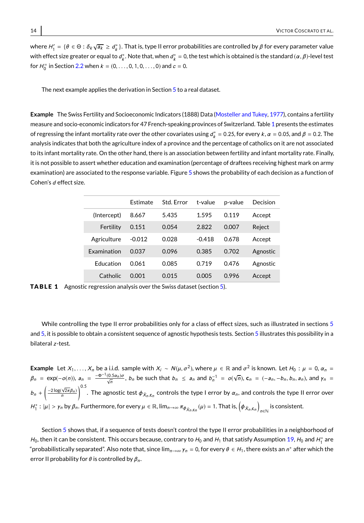where  $H_1'=\{\theta\in\Theta:\delta_k\sqrt{a_k}\ge d_k^*\}.$  That is, type II error probabilities are controlled by  $\beta$  for every parameter value with effect size greater or equal to  $d_k^*$ . Note that, when  $d_k^* = 0$ , the test which is obtained is the standard  $(\alpha, \beta)$ -level test for  $H_0^=$  in Section [2.2](#page-6-1) when  $k = (0, \ldots, 0, 1, 0, \ldots, 0)$  and  $c = 0$ .

The next example applies the derivation in Section [5](#page-12-1) to a real dataset.

**Example** The Swiss Fertility and Socioeconomic Indicators (1888) Data [\(Mosteller and Tukey,](#page-15-19) [1977\)](#page-15-19), contains a fertility measure and socio-economic indicators for 47 French-speaking provinces of Switzerland. Table [1](#page-13-0) presents the estimates of regressing the infant mortality rate over the other covariates using  $d_k^* = 0.25$ , for every k,  $\alpha = 0.05$ , and  $\beta = 0.2$ . The analysis indicates that both the agriculture index of a province and the percentage of catholics on it are not associated to its infant mortality rate. On the other hand, there is an association between fertility and infant mortality rate. Finally, it is not possible to assert whether education and examination (percentage of draftees receiving highest mark on army examination) are associated to the response variable. Figure [5](#page-14-2) shows the probability of each decision as a function of Cohen's d effect size.

<span id="page-13-0"></span>

|                    | <b>Fstimate</b> | Std. Error | t-value  | p-value | Decision |
|--------------------|-----------------|------------|----------|---------|----------|
| (Intercept)        | 8.667           | 5.435      | 1.595    | 0.119   | Accept   |
| Fertility          | 0.151           | 0.054      | 2.822    | 0.007   | Reject   |
| Agriculture        | $-0.012$        | 0.028      | $-0.418$ | 0.678   | Accept   |
| <b>Fxamination</b> | 0.037           | 0.096      | 0.385    | 0.702   | Agnostic |
| <b>Education</b>   | 0.061           | 0.085      | 0.719    | 0.476   | Agnostic |
| Catholic           | 0.001           | 0.015      | 0.005    | 0.996   | Accept   |

**TABLE 1** Agnostic regression analysis over the Swiss dataset (section [5\)](#page-12-2).

While controlling the type II error probabilities only for a class of effect sizes, such as illustrated in sections [5](#page-12-1) and [5,](#page-12-2) it is possible to obtain a consistent sequence of agnostic hypothesis tests. Section [5](#page-14-2) illustrates this possibility in a bilateral z -test.

**Example** Let  $X_1, \ldots, X_n$  be a i.i.d. sample with  $X_i \sim N(\mu, \sigma^2)$ , where  $\mu \in \mathbb{R}$  and  $\sigma^2$  is known. Let  $H_0 : \mu = 0$ ,  $\alpha_n =$  $\beta_n = \exp(-o(n))$ ,  $a_n = \frac{-\Phi^{-1}(0.5a_n)\sigma}{\sqrt{n}}$ ,  $b_n$  be such that  $b_n \le a_n$  and  $b_n^{-1} = o(\sqrt{n})$ ,  $\mathbf{c}_n = (-a_n, -b_n, b_n, a_n)$ , and  $\gamma_n =$  $b_n + \left(\frac{-2\log(\sqrt{2\pi}\beta_n)}{n}\right)^{0.5}$ . The agnostic test  $\phi_{\bar{X}_n,\mathsf{c}_n}$  controls the type I error by  $\alpha_n$ , and controls the type II error over  $H_1^*: |\mu| > \gamma_n$  by  $\beta_n$ . Furthermore, for every  $\mu \in \mathbb{R}$ ,  $\lim_{n \to \infty} \pi_{\phi_{\bar{X}_n, \mathbf{c}_n}}(\mu) = 1$ . That is,  $(\phi_{\bar{X}_n, \mathbf{c}_n})$ is consistent.<br><sub>n∈N</sub>

Section [5](#page-14-2) shows that, if a sequence of tests doesn't control the type II error probabilities in a neighborhood of  $H_0$ , then it can be consistent. This occurs because, contrary to  $H_0$  and  $H_1$  that satisfy Assumption [19,](#page-12-0)  $H_0$  and  $H_1^*$  are "probabilistically separated". Also note that, since  $\lim_{n\to\infty}\gamma_n=0$ , for every  $\theta\in H_1$ , there exists an  $n^*$  after which the error II probability for  $\theta$  is controlled by  $\beta_n$ .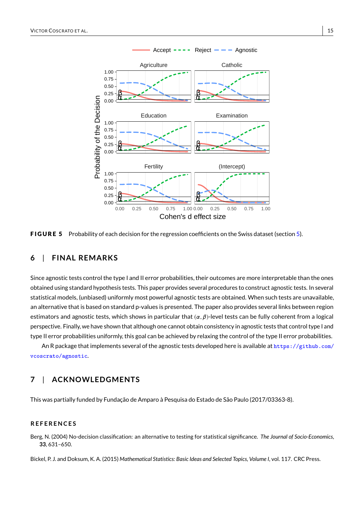<span id="page-14-2"></span>

FIGURE 5 Probability of each decision for the regression coefficients on the Swiss dataset (section [5\)](#page-12-2).

# **6** | **F INAL REMARKS**

Since agnostic tests control the type I and II error probabilities, their outcomes are more interpretable than the ones obtained using standard hypothesis tests. This paper provides several procedures to construct agnostic tests. In several statistical models, (unbiased) uniformly most powerful agnostic tests are obtained. When such tests are unavailable, an alternative that is based on standard p-values is presented. The paper also provides several links between region estimators and agnostic tests, which shows in particular that  $(\alpha, \beta)$ -level tests can be fully coherent from a logical perspective. Finally, we have shown that although one cannot obtain consistency in agnostic tests that control type I and type II error probabilities uniformly, this goal can be achieved by relaxing the control of the type II error probabilities.

An R package that implements several of the agnostic tests developed here is available at [https://github.com/](https://github.com/vcoscrato/agnostic) [vcoscrato/agnostic](https://github.com/vcoscrato/agnostic).

# **7** | **ACKNOWLEDGMENTS**

This was partially funded by Fundação de Amparo à Pesquisa do Estado de São Paulo (2017/03363-8).

## **R E F E R E N C E S**

<span id="page-14-0"></span>Berg, N. (2004) No-decision classification: an alternative to testing for statistical significance. *The Journal of Socio-Economics*, **33**, 631–650.

<span id="page-14-1"></span>Bickel, P. J. and Doksum, K. A. (2015) Mathematical Statistics: Basic Ideas and Selected Topics, Volume I, vol. 117. CRC Press.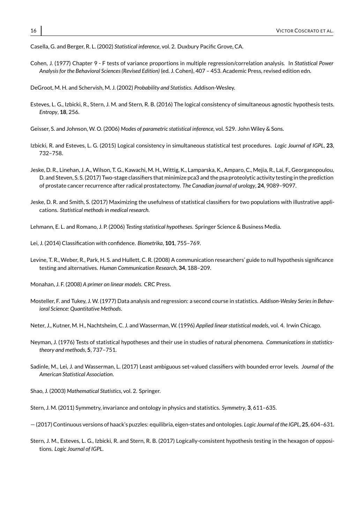<span id="page-15-0"></span>Casella, G. and Berger, R. L. (2002) *Statistical inference*, vol. 2. Duxbury Pacific Grove, CA.

<span id="page-15-18"></span>Cohen, J. (1977) Chapter 9 - F tests of variance proportions in multiple regression/correlation analysis. In *Statistical Power Analysis for the Behavioral Sciences (Revised Edition)* (ed. J. Cohen), 407 – 453. Academic Press, revised edition edn.

<span id="page-15-1"></span>DeGroot, M. H. and Schervish, M. J. (2002) *Probability and Statistics*. Addison-Wesley.

- <span id="page-15-6"></span>Esteves, L. G., Izbicki, R., Stern, J. M. and Stern, R. B. (2016) The logical consistency of simultaneous agnostic hypothesis tests. *Entropy*, **18**, 256.
- <span id="page-15-15"></span>Geisser, S. and Johnson, W. O. (2006) *Modes of parametric statistical inference*, vol. 529. John Wiley & Sons.
- <span id="page-15-17"></span>Izbicki, R. and Esteves, L. G. (2015) Logical consistency in simultaneous statistical test procedures. *Logic Journal of IGPL*, **23**, 732–758.
- <span id="page-15-9"></span>Jeske, D. R., Linehan, J. A., Wilson, T. G., Kawachi, M. H., Wittig, K., Lamparska, K., Amparo, C., Mejia, R., Lai, F., Georganopoulou, D. and Steven, S. S. (2017) Two-stage classifiers that minimize pca3 and the psa proteolytic activity testing in the prediction of prostate cancer recurrence after radical prostatectomy. *The Canadian journal of urology*, **24**, 9089–9097.
- <span id="page-15-10"></span>Jeske, D. R. and Smith, S. (2017) Maximizing the usefulness of statistical classifiers for two populations with illustrative applications. *Statistical methods in medical research*.

<span id="page-15-12"></span>Lehmann, E. L. and Romano, J. P. (2006) *Testing statistical hypotheses*. Springer Science & Business Media.

<span id="page-15-8"></span>Lei, J. (2014) Classification with confidence. *Biometrika*, **101**, 755–769.

- <span id="page-15-2"></span>Levine, T. R., Weber, R., Park, H. S. and Hullett, C. R. (2008) A communication researchers' guide to null hypothesis significance testing and alternatives. *Human Communication Research*, **34**, 188–209.
- <span id="page-15-16"></span>Monahan, J. F. (2008) *A primer on linear models*. CRC Press.
- <span id="page-15-19"></span>Mosteller, F. and Tukey, J. W. (1977) Data analysis and regression: a second course in statistics. *Addison-Wesley Series in Behavioral Science: Quantitative Methods*.
- <span id="page-15-14"></span>Neter, J., Kutner, M. H., Nachtsheim, C. J. and Wasserman, W. (1996) *Applied linear statistical models*, vol. 4. Irwin Chicago.
- <span id="page-15-5"></span>Neyman, J. (1976) Tests of statistical hypotheses and their use in studies of natural phenomena. *Communications in statisticstheory and methods*, **5**, 737–751.
- <span id="page-15-11"></span>Sadinle, M., Lei, J. and Wasserman, L. (2017) Least ambiguous set-valued classifiers with bounded error levels. *Journal of the American Statistical Association*.
- <span id="page-15-13"></span>Shao, J. (2003) *Mathematical Statistics*, vol. 2. Springer.
- <span id="page-15-3"></span>Stern, J. M. (2011) Symmetry, invariance and ontology in physics and statistics. *Symmetry*, **3**, 611–635.
- <span id="page-15-4"></span>— (2017) Continuous versions of haack's puzzles: equilibria, eigen-states and ontologies. *Logic Journal of the IGPL*, **25**, 604–631.
- <span id="page-15-7"></span>Stern, J. M., Esteves, L. G., Izbicki, R. and Stern, R. B. (2017) Logically-consistent hypothesis testing in the hexagon of oppositions. *Logic Journal of IGPL*.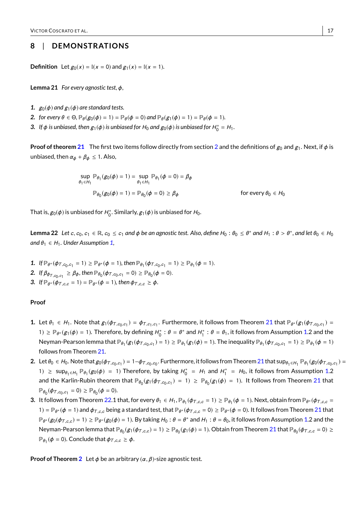## **8** | **DEMONSTRAT IONS**

**Definition** Let  $g_0(x) = \mathbb{I}(x = 0)$  and  $g_1(x) = \mathbb{I}(x = 1)$ .

<span id="page-16-0"></span>**Lemma 21** *For every agnostic test,* φ*,*

- **1.**  $g_0(\phi)$  and  $g_1(\phi)$  are standard tests.
- 2. *for every*  $\theta \in \Theta$ ,  $\mathbb{P}_{\theta}(g_0(\phi) = 1) = \mathbb{P}_{\theta}(\phi = 0)$  *and*  $\mathbb{P}_{\theta}(g_1(\phi) = 1) = \mathbb{P}_{\theta}(\phi = 1)$ *.*
- **3.** If  $\phi$  is unbiased, then  $g_1(\phi)$  is unbiased for  $H_0$  and  $g_0(\phi)$  is unbiased for  $H_0^* = H_1$ .

**Proof of theorem [21](#page-16-0)** The first two items follow directly from section [2](#page-1-0) and the definitions of  $g_0$  and  $g_1$ . Next, if  $\phi$  is unbiased, then  $\alpha_{\phi} + \beta_{\phi} \leq 1$ . Also,

$$
\sup_{\theta_1 \in H_1} \mathbb{P}_{\theta_1}(g_0(\phi) = 1) = \sup_{\theta_1 \in H_1} \mathbb{P}_{\theta_1}(\phi = 0) = \beta_{\phi}
$$
  

$$
\mathbb{P}_{\theta_0}(g_0(\phi) = 1) = \mathbb{P}_{\theta_0}(\phi = 0) \ge \beta_{\phi}
$$
 for every  $\theta_0 \in H_0$ 

That is,  $g_0(\phi)$  is unbiased for  $H_0^*$ . Similarly,  $g_1(\phi)$  is unbiased for  $H_0$ .

<span id="page-16-1"></span>**Lemma 22** *Let c*, *c*<sub>0</sub>, *c*<sub>1</sub> ∈ ℝ, *c*<sub>0</sub> ≤ *c*<sub>1</sub> and φ be an agnostic test. Also, define H<sub>0</sub> : θ<sub>0</sub> ≤ θ\* and H<sub>1</sub> : θ > θ\*, and let θ<sub>0</sub> ∈ H<sub>0</sub><br>→ external and the state of the state of the state of the state o *and*  $\theta_1 \in H_1$ *. Under Assumption* [1,](#page-2-1)

- **1.** *If*  $\mathbb{P}_{\theta^*}(\phi_{T,c_0,c_1} = 1) \ge \mathbb{P}_{\theta^*}(\phi = 1)$ *, then*  $\mathbb{P}_{\theta_1}(\phi_{T,c_0,c_1} = 1) \ge \mathbb{P}_{\theta_1}(\phi = 1)$ *.*
- 2. If  $\beta_{\phi_{T,c_0,c_1}} \ge \beta_{\phi}$ , then  $\mathbb{P}_{\theta_0}(\phi_{T,c_0,c_1} = 0) \ge \mathbb{P}_{\theta_0}(\phi = 0)$ .
- **3.** *If*  $\mathbb{P}_{\theta^*}(\phi_{T,c,c} = 1) = \mathbb{P}_{\theta^*}(\phi = 1)$ *, then*  $\phi_{T,c,c} \ge \phi$ *.*

## **Proof**

- **1.** Let  $\theta_1 \in H_1$ . Note that  $g_1(\phi_{T,c_0,c_1}) = \phi_{T,c_1,c_1}$ . Furthermore, it follows from Theorem [21](#page-16-0) that  $\mathbb{P}_{\theta^*}(g_1(\phi_{T,c_0,c_1}) =$ 1)  $\geq \mathbb{P}_{\theta^*}(g_1(\phi)=1)$ . Therefore, by defining  $H_0^*: \theta = \theta^*$  and  $H_1^*: \theta = \theta_1$ , it follows from Assumption [1.](#page-2-1)2 and the Neyman-Pearson lemma that  $\mathbb{P}_{\theta_1}(g_1(\phi_{T,c_0,c_1})=1)\geq \mathbb{P}_{\theta_1}(g_1(\phi)=1)$ . The inequality  $\mathbb{P}_{\theta_1}(\phi_{T,c_0,c_1}=1)\geq \mathbb{P}_{\theta_1}(\phi=1)$ follows from Theorem [21.](#page-16-0)
- **2.** Let  $\theta_0 \in H_0$ . Note that  $g_0(\phi_{T,c_0,c_1}) = 1 \phi_{T,c_0,c_0}$ . Furthermore, it follows from Theorem [21](#page-16-0) that  $\sup_{\theta_1 \in H_1} \mathbb{P}_{\theta_1}(g_0(\phi_{T,c_0,c_1}) = 1 \phi_{T,c_0,c_0}$ 1) ≥ sup<sub> $\theta_1 \in H_1$ </sub>  $\mathbb{P}_{\theta_1}(g_0(\phi) = 1)$  Therefore, by taking  $H_0^* = H_1$  and  $H_1^* = H_0$ , it follows from Assumption [1.](#page-2-1)2 and the Karlin-Rubin theorem that  $\mathbb{P}_{\theta_0}(g_1(\phi_{T,c_0,c_1}) = 1) \geq \mathbb{P}_{\theta_0}(g_1(\phi) = 1)$ . It follows from Theorem [21](#page-16-0) that  $\mathbb{P}_{\theta_0}(\phi_{T,c_0,c_1} = 0) \geq \mathbb{P}_{\theta_0}(\phi = 0).$
- **3.** It follows from Theorem [22.](#page-16-1)1 that, for every  $\theta_1 \in H_1$ ,  $\mathbb{P}_{\theta_1}(\phi_{T,c,c} = 1) \geq \mathbb{P}_{\theta_1}(\phi = 1)$ . Next, obtain from  $\mathbb{P}_{\theta^*}(\phi_{T,c,c} = 1)$  $1) = \mathbb{P}_{\theta^*}(\phi = 1)$  and  $\phi_{T,c,c}$  being a standard test, that  $\mathbb{P}_{\theta^*}(\phi_{T,c,c} = 0) \ge \mathbb{P}_{\theta^*}(\phi = 0)$ . It follows from Theorem [21](#page-16-0) that  $\mathbb{P}_{\theta^*}(g_0(\phi_{T,c,c})=1)\geq \mathbb{P}_{\theta^*}(g_0(\phi)=1).$  By taking  $H_0:\theta=\theta^*$  and  $H_1:\theta=\theta_0$ , it follows from Assumption [1.](#page-2-1)2 and the Neyman-Pearson lemma that  $\mathbb{P}_{\theta_0}(g_1(\phi_{T,c,c})=1)\geq \mathbb{P}_{\theta_0}(g_1(\phi)=1)$ . Obtain from Theorem [21](#page-16-0) that  $\mathbb{P}_{\theta_0}(\phi_{T,c,c}=0)\geq$  $\mathbb{P}_{\theta_1}(\phi=0)$ . Conclude that  $\phi_{T,c,c}\geq \phi$ .

**Proof of Theorem [2](#page-3-1)** Let  $\phi$  be an arbitrary  $(\alpha, \beta)$ -size agnostic test.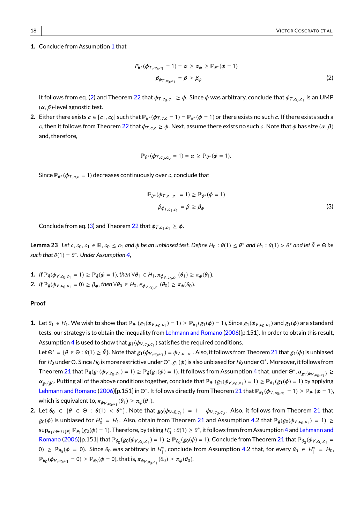#### **[1](#page-2-1).** Conclude from Assumption 1 that

<span id="page-17-0"></span>
$$
P_{\theta^*}(\phi_{T,c_0,c_1} = 1) = \alpha \ge \alpha_{\phi} \ge \mathbb{P}_{\theta^*}(\phi = 1)
$$
  

$$
\beta_{\phi_{T,c_0,c_1}} = \beta \ge \beta_{\phi}
$$
 (2)

It follows from eq. [\(2\)](#page-17-0) and Theorem [22](#page-16-1) that  $\phi_{T,c_0,c_1}\geq \phi.$  Since  $\phi$  was arbitrary, conclude that  $\phi_{T,c_0,c_1}$  is an UMP  $(\alpha, \beta)$ -level agnostic test.

**2.** Either there exists  $c \in [c_1, c_0]$  such that  $\mathbb{P}_{\theta^*}(\phi_{T,c,c} = 1) = \mathbb{P}_{\theta^*}(\phi = 1)$  or there exists no such  $c$ . If there exists such a c, then it follows from Theorem [22](#page-16-1) that  $\phi_{T,c,c} \ge \phi$ . Next, assume there exists no such c. Note that  $\phi$  has size  $(\alpha, \beta)$ and, therefore,

$$
\mathbb{P}_{\theta^*}(\phi_{T,c_0,c_0}=1)=\alpha\geq \mathbb{P}_{\theta^*}(\phi=1).
$$

Since  $\mathbb{P}_{\theta^*}(\phi_{T,c,c}=1)$  decreases continuously over  $c$ , conclude that

<span id="page-17-1"></span>
$$
\mathbb{P}_{\theta^*}(\phi_{T,c_1,c_1} = 1) \ge \mathbb{P}_{\theta^*}(\phi = 1)
$$
  

$$
\beta_{\phi_{T,c_1,c_1}} = \beta \ge \beta_{\phi}
$$
 (3)

Conclude from eq. [\(3\)](#page-17-1) and Theorem [22](#page-16-1) that  $\phi_{T,c_1,c_1} \geq \phi$ .

<span id="page-17-2"></span>**Lemma 23** *Let c*, *c*<sub>0</sub>, *c*<sub>1</sub> ∈ ℝ, *c*<sub>0</sub> ≤ *c*<sub>1</sub> and φ be an unbiased test. Define  $H_0: \theta(1) \le \theta^*$  and  $H_1: \theta(1) > \theta^*$  and let  $\bar{\theta} \in \Theta$  be  $such that  $\theta(1) = \theta^*$ . Under Assumption 4,$  $such that  $\theta(1) = \theta^*$ . Under Assumption 4,$ 

- **1.** *If*  $\mathbb{P}_{\hat{\theta}}(\phi_{V,c_0,c_1} = 1) \ge \mathbb{P}_{\hat{\theta}}(\phi = 1)$ *, then*  $\forall \theta_1 \in H_1$ ,  $\pi_{\phi_{V,c_0,c_1}}(\theta_1) \ge \pi_{\phi}(\theta_1)$ *.*
- 2. If  $\mathbb{P}_{\tilde{\theta}}(\phi_{V,c_0,c_1}=0) \geq \beta_{\phi}$ , then  $\forall \theta_0 \in H_0$ ,  $\pi_{\phi_{V,c_0,c_1}}(\theta_0) \geq \pi_{\phi}(\theta_0)$ .

### **Proof**

- **1.** Let  $\theta_1 \in H_1$ . We wish to show that  $\mathbb{P}_{\theta_1}(g_1(\phi_{V,c_0,c_1}) = 1) \geq \mathbb{P}_{\theta_1}(g_1(\phi) = 1)$ , Since  $g_1(\phi_{V,c_0,c_1})$  and  $g_1(\phi)$  are standard tests, our strategy is to obtain the inequality from [Lehmann and Romano](#page-15-12) [\(2006\)](#page-15-12)[p.151]. In order to obtain this result, Assumption [4](#page-4-1) is used to show that  $g_1(\phi_{V,c_0,c_1})$  satisfies the required conditions.
- Let  $\Theta^* = \{\theta \in \Theta : \theta(1) \geq \bar{\theta}\}\.$  Note that  $g_1(\phi_{V,c_0,c_1}) = \phi_{V,c_1,c_1}$ . Also, it follows from Theorem [21](#page-16-0) that  $g_1(\phi)$  is unbiased for  $H_0$  under <mark>Θ. Since  $H_0$  is more restrictive under Θ $^*,$   $g_1(\phi)$  is also unbiased for  $H_0$  under <mark>Θ $^*$ . Moreover, it follows from</mark></mark> Theorem [21](#page-16-0) that  $\mathbb{P}_{\bar{\theta}}(g_1(\phi_{V,c_0,c_1}) = 1) \geq \mathbb{P}_{\bar{\theta}}(g_1(\phi) = 1)$ . It follows from Assumption [4](#page-4-1) that, under  $\Theta^*$ ,  $\alpha_{g_1(\phi_{V,c_0,c_1})} \geq$  $\alpha_{g_1(\phi)}$ . Putting all of the above conditions together, conclude that  $\mathbb{P}_{\theta_1}(g_1(\phi_{V,c_0,c_1}) = 1) \ge \mathbb{P}_{\theta_1}(g_1(\phi) = 1)$  by applying [Lehmann and Romano](#page-15-12) [\(2006\)](#page-15-12)[p.151] in Θ\*. It follows directly from Theorem [21](#page-16-0) that  $\mathbb{P}_{\theta_1}(\phi_{V,c_0,c_1}=1) \geq \mathbb{P}_{\theta_1}(\phi=1)$ , which is equivalent to,  $\pi_{\phi_{V, c_0, c_1}}(\theta_1) \geq \pi_{\phi}(\theta_1)$ .
- **2.** Let  $\theta_0 \in \{\theta \in \Theta : \theta(1) < \theta^*\}$ . Note that  $g_0(\phi_{V_c 0,c_1}) = 1 \phi_{V,c_0,c_0}$ . Also, it follows from Theorem [21](#page-16-0) that  $g_0(\phi)$  is unbiased for  $H_0^* = H_1$ . Also, obtain from Theorem [21](#page-16-0) and Assumption [4.](#page-4-1)2 that  $\mathbb{P}_{\bar{\theta}}(g_0(\phi_{V,c_0,c_1}) = 1) \geq$  $\sup_{\theta_1\in\Theta_1\cup\{\theta\}}\mathbb{P}_{\theta_1}(g_0(\phi)=1).$  Therefore, by taking  $H_0^*:\theta(1)\geq\theta^*$ , it follows from from Assumption [4](#page-4-1) and [Lehmann and](#page-15-12)  $\mathsf{Romano}\left(2006\middle|\mathsf{p}.151\right]$  $\mathsf{Romano}\left(2006\middle|\mathsf{p}.151\right]$  $\mathsf{Romano}\left(2006\middle|\mathsf{p}.151\right]$  that  $\mathbb{P}_{\theta_0}(g_0(\phi_{V,c_0,c_1})=1)\geq \mathbb{P}_{\theta_0}(g_0(\phi)=1).$  Conclude from Theorem [21](#page-16-0) that  $\mathbb{P}_{\theta_0}(\phi_{V,c_0,c_1}=1)$ 0) ≥  $\mathbb{P}_{\theta_0}(\phi=0)$ . Since  $\theta_0$  was arbitrary in  $H_1^*$ , conclude from Assumption [4.](#page-4-1)2 that, for every  $\theta_0\in\overline{H_1^*}\,=\,H_0,$  $\mathbb{P}_{\theta_0}(\phi_{V,c_0,c_1}=0) \geq \mathbb{P}_{\theta_0}(\phi=0)$ , that is,  $\pi_{\phi_{V,c_0,c_1}}(\theta_0) \geq \pi_{\phi}(\theta_0)$ .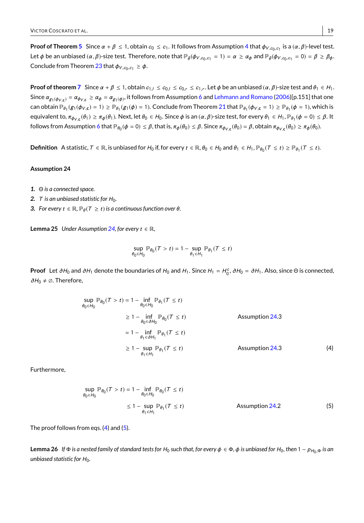**Proof of Theorem [5](#page-5-1)** Since  $\alpha + \beta \le 1$ , obtain  $c_0 \le c_1$ . It follows from Assumption [4](#page-4-1) that  $\phi_{V, c_0, c_1}$  is a  $(\alpha, \beta)$ -level test. Let  $\phi$  be an unbiased  $(\alpha, \beta)$ -size test. Therefore, note that  $\mathbb{P}_{\bar{\theta}}(\phi_{V, c_0, c_1} = 1) = \alpha \geq \alpha_{\phi}$  and  $\mathbb{P}_{\bar{\theta}}(\phi_{V, c_0, c_1} = 0) = \beta \geq \beta_{\phi}$ . Conclude from Theorem [23](#page-17-2) that  $\phi_{V, c_0, c_1} \geq \phi$ .

**Proof of theorem [7](#page-5-2)** Since  $\alpha + \beta \le 1$ , obtain  $c_{1, l} \le c_{0, l} \le c_{0, r} \le c_{1, r}$ . Let  $\phi$  be an unbiased  $(\alpha, \beta)$ -size test and  $\theta_1 \in H_1$ . Since  $\alpha_{g_1(\phi_{V,c})} = \alpha_{\phi_{V,c}} \ge \alpha_{\phi} = \alpha_{g_1(\phi)}$ , it follows from Assumption [6](#page-5-0) and [Lehmann and Romano](#page-15-12) [\(2006\)](#page-15-12)[p.151] that one  $\textsf{can obtain } \mathbb{P}_{\theta_1}(g_1(\phi_{V, \mathbf{c}}) = 1) \geq \mathbb{P}_{\theta_1}(g_1(\phi) = 1). \text{ Conclude from Theorem 21 that } \mathbb{P}_{\theta_1}(\phi_{V, \mathbf{c}} = 1) \geq \mathbb{P}_{\theta_1}(\phi = 1), \text{which is } \mathbb{P}_{\theta_1}(g_1(\phi_{V, \mathbf{c}} = 1)) \geq \mathbb{P}_{\theta_1}(g_1(\phi_{V, \mathbf{c}} = 1))$  $\textsf{can obtain } \mathbb{P}_{\theta_1}(g_1(\phi_{V, \mathbf{c}}) = 1) \geq \mathbb{P}_{\theta_1}(g_1(\phi) = 1). \text{ Conclude from Theorem 21 that } \mathbb{P}_{\theta_1}(\phi_{V, \mathbf{c}} = 1) \geq \mathbb{P}_{\theta_1}(\phi = 1), \text{which is } \mathbb{P}_{\theta_1}(g_1(\phi_{V, \mathbf{c}} = 1)) \geq \mathbb{P}_{\theta_1}(g_1(\phi_{V, \mathbf{c}} = 1))$  $\textsf{can obtain } \mathbb{P}_{\theta_1}(g_1(\phi_{V, \mathbf{c}}) = 1) \geq \mathbb{P}_{\theta_1}(g_1(\phi) = 1). \text{ Conclude from Theorem 21 that } \mathbb{P}_{\theta_1}(\phi_{V, \mathbf{c}} = 1) \geq \mathbb{P}_{\theta_1}(\phi = 1), \text{which is } \mathbb{P}_{\theta_1}(g_1(\phi_{V, \mathbf{c}} = 1)) \geq \mathbb{P}_{\theta_1}(g_1(\phi_{V, \mathbf{c}} = 1))$ equivalent to,  $\pi_{\phi_{V, \mathbf{c}}}(\theta_1) \geq \pi_{\phi}(\theta_1)$ . Next, let  $\theta_0 \in H_0$ . Since  $\phi$  is an  $(\alpha, \beta)$ -size test, for every  $\theta_1 \in H_1$ ,  $\mathbb{P}_{\theta_1}(\phi = 0) \leq \beta$ . It follows from Assumption [6](#page-5-0) that  $\mathbb{P}_{\theta_0}(\phi = 0) \leq \beta$ , that is,  $\pi_\phi(\theta_0) \leq \beta$ . Since  $\pi_{\phi_{V, \mathbf{c}}}(\theta_0) = \beta$ , obtain  $\pi_{\phi_{V, \mathbf{c}}}(\theta_0) \geq \pi_\phi(\theta_0)$ .

 $\mathsf{Definition}\; \mathsf{A}$  statistic,  $\mathcal{T}\in\mathbb{R},$  is unbiased for  $H_0$  if, for every  $t\in\mathbb{R}$ ,  $\theta_0\in H_0$  and  $\theta_1\in H_1, \mathbb{P}_{\theta_0}(\mathcal{T}\leq t)\geq \mathbb{P}_{\theta_1}(\mathcal{T}\leq t).$ 

#### <span id="page-18-0"></span>**Assumption 24**

- *1.* Θ *is a connected space.*
- 2.  $T$  *is an unbiased statistic for H*<sub>0</sub>.
- *3. For every*  $t \in \mathbb{R}$ ,  $\mathbb{P}_{\theta}(T \geq t)$  *is a continuous function over*  $\theta$ *.*

<span id="page-18-3"></span>**Lemma 25** *Under Assumption* [24,](#page-18-0) for every  $t \in \mathbb{R}$ ,

<span id="page-18-1"></span>
$$
\sup_{\theta_0 \in H_0} \mathbb{P}_{\theta_0}(T > t) = 1 - \sup_{\theta_1 \in H_1} \mathbb{P}_{\theta_1}(T \le t)
$$

**Proof** Let  $\partial H_0$  and  $\partial H_1$  denote the boundaries of  $H_0$  and  $H_1$ . Since  $H_1 = H_0^c$ ,  $\partial H_0 = \partial H_1$ . Also, since  $\Theta$  is connected,  $∂H<sub>0</sub> ≠ ∅.$  Therefore,

$$
\sup_{\theta_0 \in H_0} \mathbb{P}_{\theta_0}(T > t) = 1 - \inf_{\theta_0 \in H_0} \mathbb{P}_{\theta_1}(T \le t)
$$
\n
$$
\ge 1 - \inf_{\theta_0 \in \partial H_0} \mathbb{P}_{\theta_0}(T \le t)
$$
\n
$$
= 1 - \inf_{\theta_1 \in \partial H_1} \mathbb{P}_{\theta_1}(T \le t)
$$
\n
$$
\ge 1 - \sup_{\theta_1 \in H_1} \mathbb{P}_{\theta_1}(T \le t)
$$
\nAssumption 24.3 (4)

Furthermore,

<span id="page-18-2"></span>
$$
\sup_{\theta_0 \in H_0} \mathbb{P}_{\theta_0}(\mathcal{T} > t) = 1 - \inf_{\theta_0 \in H_0} \mathbb{P}_{\theta_0}(\mathcal{T} \le t)
$$
\n
$$
\le 1 - \sup_{\theta_1 \in H_1} \mathbb{P}_{\theta_1}(\mathcal{T} \le t) \tag{5}
$$
\nAssumption 24.2

The proof follows from eqs. [\(4\)](#page-18-1) and [\(5\)](#page-18-2).

<span id="page-18-4"></span>**Lemma 26** If Φ *is a nested family of standard tests for H*<sub>0</sub> such that, for every φ ∈ Φ, φ *is unbiased for H*<sub>0</sub>, then 1 − *p<sub>H0</sub>*,⊕ *is an unbiased statistic for H*<sub>0</sub>.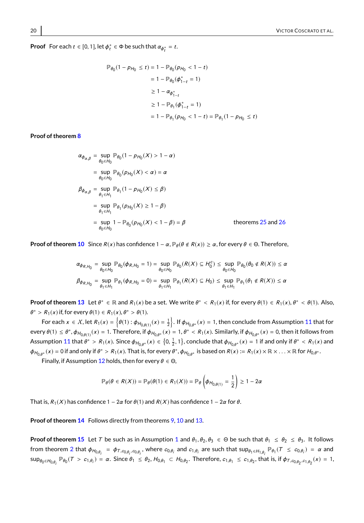**Proof** For each  $t \in [0, 1]$ , let  $\phi_t^* \in \Phi$  be such that  $\alpha_{\phi_t^*} = t$ .

$$
\mathbb{P}_{\theta_0}(1 - p_{H_0} \le t) = 1 - \mathbb{P}_{\theta_0}(p_{H_0} < 1 - t)
$$
  
= 1 - \mathbb{P}\_{\theta\_0}(\phi\_{1-t}^\* = 1)  

$$
\ge 1 - \alpha_{\phi_{1-t}^*}
$$
  

$$
\ge 1 - \mathbb{P}_{\theta_1}(\phi_{1-t}^* = 1)
$$
  
= 1 - \mathbb{P}\_{\theta\_1}(p\_{H\_0} < 1 - t) = \mathbb{P}\_{\theta\_1}(1 - p\_{H\_0} \le t)

### **Proof of theorem [8](#page-7-0)**

$$
\alpha_{\phi_{\alpha,\beta}} = \sup_{\theta_0 \in H_0} \mathbb{P}_{\theta_0} (1 - p_{H_0}(X) > 1 - \alpha)
$$
\n
$$
= \sup_{\theta_0 \in H_0} \mathbb{P}_{\theta_0} (p_{H_0}(X) < \alpha) = \alpha
$$
\n
$$
\beta_{\phi_{\alpha,\beta}} = \sup_{\theta_1 \in H_1} \mathbb{P}_{\theta_1} (1 - p_{H_0}(X) \le \beta)
$$
\n
$$
= \sup_{\theta_1 \in H_1} \mathbb{P}_{\theta_1} (p_{H_0}(X) \ge 1 - \beta)
$$
\n
$$
= \sup_{\theta_0 \in H_0} 1 - \mathbb{P}_{\theta_0} (p_{H_0}(X) < 1 - \beta) = \beta
$$
\ntheorems 25 and 26

**Proof of theorem [10](#page-9-0)** Since  $R(x)$  has confidence  $1 - \alpha$ ,  $\mathbb{P}_{\theta}(\theta \notin R(x)) \ge \alpha$ , for every  $\theta \in \Theta$ . Therefore,

$$
\alpha_{\phi_{R,H_0}} = \sup_{\theta_0 \in H_0} \mathbb{P}_{\theta_0}(\phi_{R,H_0} = 1) = \sup_{\theta_0 \in H_0} \mathbb{P}_{\theta_0}(R(X) \subseteq H_0^c) \le \sup_{\theta_0 \in H_0} \mathbb{P}_{\theta_0}(\theta_0 \notin R(X)) \le \alpha
$$
  

$$
\beta_{\phi_{R,H_0}} = \sup_{\theta_1 \in H_1} \mathbb{P}_{\theta_1}(\phi_{R,H_0} = 0) = \sup_{\theta_1 \in H_1} \mathbb{P}_{\theta_1}(R(X) \subseteq H_0) \le \sup_{\theta_1 \in H_1} \mathbb{P}_{\theta_1}(\theta_1 \notin R(X)) \le \alpha
$$

**Proof of theorem [13](#page-9-1)** Let  $\theta^* \in \mathbb{R}$  and  $R_1(x)$  be a set. We write  $\theta^* \le R_1(x)$  if, for every  $\theta(1) \in R_1(x)$ ,  $\theta^* \le \theta(1)$ . Also,  $\theta^* > R_1(x)$  if, for every  $\theta(1) \in R_1(x), \theta^* > \theta(1)$ .

For each  $x \in X$ , let  $R_1(x) = \{\theta(1) : \phi_{H_{0,\theta(1)}}(x) = \frac{1}{2}\}$ . If  $\phi_{H_{0,\theta^*}}(x) = 1$ , then conclude from Assumption [11](#page-9-2) that for every  $\theta(1) \leq \theta^*$ ,  $\phi_{H_{0,\theta(1)}}(x) = 1$ . Therefore, if  $\phi_{H_{0,\theta^*}}(x) = 1$ ,  $\theta^* < R_1(x)$ . Similarly, if  $\phi_{H_{0,\theta^*}}(x) = 0$ , then it follows from Assumption [11](#page-9-2) that  $\theta^* > R_1(x)$ . Since  $\phi_{H_{0,\theta^*}}(x) \in \{0, \frac{1}{2}, 1\}$ , conclude that  $\phi_{H_{0,\theta^*}}(x) = 1$  if and only if  $\theta^* < R_1(x)$  and  $\phi_{H_{0,\theta^*}}(x) = 0$  if and only if  $\theta^* > R_1(x)$ . That is, for every  $\theta^*, \phi_{H_{0,\theta^*}}$  is based on  $R(x) := R_1(x) \times \mathbb{R} \times \ldots \times \mathbb{R}$  for  $H_{0,\theta^*}$ .

Finally, if Assumption [12](#page-9-3) holds, then for every  $\theta \in \Theta$ ,

$$
\mathbb{P}_{\theta}(\theta \in R(X)) = \mathbb{P}_{\theta}(\theta(1) \in R_1(X)) = \mathbb{P}_{\theta}\left(\phi_{H_{0,\theta(1)}} = \frac{1}{2}\right) \geq 1 - 2\alpha
$$

That is,  $R_1(X)$  has confidence 1 – 2 $\alpha$  for  $\theta(1)$  and  $R(X)$  has confidence 1 – 2 $\alpha$  for  $\theta$ .

**Proof of theorem [14](#page-9-4)** Follows directly from theorems [9,](#page-8-3) [10](#page-9-0) and [13.](#page-9-1)

**Proof of theorem [15](#page-10-1)** Let T be such as in Assumption [1](#page-2-1) and  $\theta_1, \theta_2, \theta_3 \in \Theta$  be such that  $\theta_1 \leq \theta_2 \leq \theta_3$ . It follows from theorem [2](#page-3-1) that  $\phi_{H_{0,\theta_{i}}} = \phi_{T,c_{0,\theta_{i}},c_{0,\theta_{i}}}$ , where  $c_{0,\theta_{i}}$  and  $c_{1,\theta_{i}}$  are such that  $\sup_{\theta_{1} \in H_{1,\theta_{i}}} \mathbb{P}_{\theta_{1}}(T \leq c_{0,\theta_{i}}) = \alpha$  and  $\sup_{\theta_0\in H_{0,\theta_i}}\mathbb P_{\theta_0}(T>c_{1,\theta_i})=\alpha.$  Since  $\theta_1\leq \theta_2,$   $H_{0,\theta_1}\subset H_{0,\theta_2}.$  Therefore,  $c_{1,\theta_1}\leq c_{1,\theta_2},$  that is, if  $\phi_{T,c_{0,\theta_2},c_{1,\theta_2}}(x)=1,$